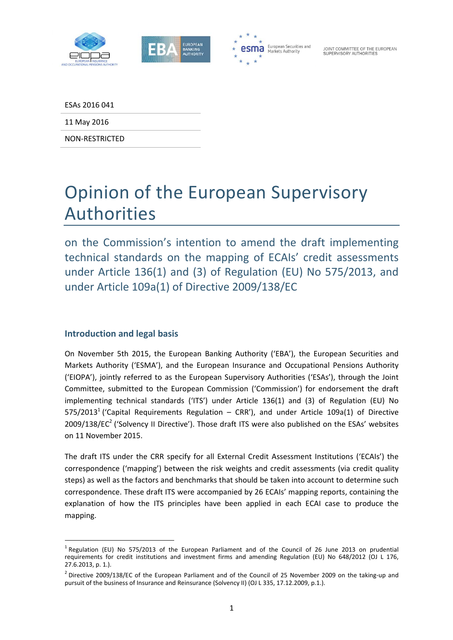



ESAs 2016 041

11 May 2016

NON‐RESTRICTED

# Opinion of the European Supervisory Authorities

on the Commission's intention to amend the draft implementing technical standards on the mapping of ECAIs' credit assessments under Article 136(1) and (3) of Regulation (EU) No 575/2013, and under Article 109a(1) of Directive 2009/138/EC

### **Introduction and legal basis**

<u> Andreas Andreas Andreas Andreas Andreas Andreas Andreas Andreas Andreas Andreas Andreas Andreas Andreas Andr</u>

On November 5th 2015, the European Banking Authority ('EBA'), the European Securities and Markets Authority ('ESMA'), and the European Insurance and Occupational Pensions Authority ('EIOPA'), jointly referred to as the European Supervisory Authorities ('ESAs'), through the Joint Committee, submitted to the European Commission ('Commission') for endorsement the draft implementing technical standards ('ITS') under Article 136(1) and (3) of Regulation (EU) No 575/2013<sup>1</sup> ('Capital Requirements Regulation – CRR'), and under Article 109a(1) of Directive 2009/138/EC<sup>2</sup> ('Solvency II Directive'). Those draft ITS were also published on the ESAs' websites on 11 November 2015.

The draft ITS under the CRR specify for all External Credit Assessment Institutions ('ECAIs') the correspondence ('mapping') between the risk weights and credit assessments (via credit quality steps) as well as the factors and benchmarks that should be taken into account to determine such correspondence. These draft ITS were accompanied by 26 ECAIs' mapping reports, containing the explanation of how the ITS principles have been applied in each ECAI case to produce the mapping.

<sup>&</sup>lt;sup>1</sup> Regulation (EU) No 575/2013 of the European Parliament and of the Council of 26 June 2013 on prudential requirements for credit institutions and investment firms and amending Regulation (EU) No 648/2012 (OJ L 176, 27.6.2013, p. 1.).

Directive 2009/138/EC of the European Parliament and of the Council of 25 November 2009 on the taking-up and pursuit of the business of Insurance and Reinsurance (Solvency II) (OJ L 335, 17.12.2009, p.1.).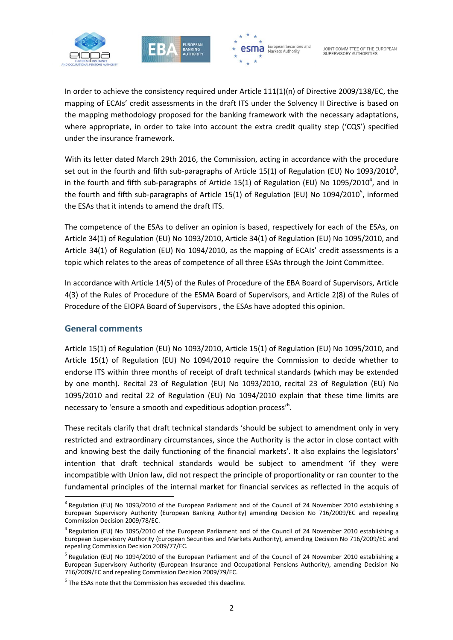





In order to achieve the consistency required under Article 111(1)(n) of Directive 2009/138/EC, the mapping of ECAIs' credit assessments in the draft ITS under the Solvency II Directive is based on the mapping methodology proposed for the banking framework with the necessary adaptations, where appropriate, in order to take into account the extra credit quality step ('CQS') specified under the insurance framework.

With its letter dated March 29th 2016, the Commission, acting in accordance with the procedure set out in the fourth and fifth sub-paragraphs of Article 15(1) of Regulation (EU) No 1093/2010<sup>3</sup>, in the fourth and fifth sub-paragraphs of Article 15(1) of Regulation (EU) No 1095/2010<sup>4</sup>, and in the fourth and fifth sub-paragraphs of Article 15(1) of Regulation (EU) No 1094/2010<sup>5</sup>, informed the ESAs that it intends to amend the draft ITS.

The competence of the ESAs to deliver an opinion is based, respectively for each of the ESAs, on Article 34(1) of Regulation (EU) No 1093/2010, Article 34(1) of Regulation (EU) No 1095/2010, and Article 34(1) of Regulation (EU) No 1094/2010, as the mapping of ECAIs' credit assessments is a topic which relates to the areas of competence of all three ESAs through the Joint Committee.

In accordance with Article 14(5) of the Rules of Procedure of the EBA Board of Supervisors, Article 4(3) of the Rules of Procedure of the ESMA Board of Supervisors, and Article 2(8) of the Rules of Procedure of the EIOPA Board of Supervisors , the ESAs have adopted this opinion.

#### **General comments**

<u> Andreas Andreas Andreas Andreas Andreas Andreas Andreas Andreas Andreas Andreas Andreas Andreas Andreas Andr</u>

Article 15(1) of Regulation (EU) No 1093/2010, Article 15(1) of Regulation (EU) No 1095/2010, and Article 15(1) of Regulation (EU) No 1094/2010 require the Commission to decide whether to endorse ITS within three months of receipt of draft technical standards (which may be extended by one month). Recital 23 of Regulation (EU) No 1093/2010, recital 23 of Regulation (EU) No 1095/2010 and recital 22 of Regulation (EU) No 1094/2010 explain that these time limits are necessary to 'ensure a smooth and expeditious adoption process'<sup>6</sup>.

These recitals clarify that draft technical standards 'should be subject to amendment only in very restricted and extraordinary circumstances, since the Authority is the actor in close contact with and knowing best the daily functioning of the financial markets'. It also explains the legislators' intention that draft technical standards would be subject to amendment 'if they were incompatible with Union law, did not respect the principle of proportionality or ran counter to the fundamental principles of the internal market for financial services as reflected in the acquis of

<sup>&</sup>lt;sup>3</sup> Regulation (EU) No 1093/2010 of the European Parliament and of the Council of 24 November 2010 establishing a European Supervisory Authority (European Banking Authority) amending Decision No 716/2009/EC and repealing Commission Decision 2009/78/EC.

 $<sup>4</sup>$  Regulation (EU) No 1095/2010 of the European Parliament and of the Council of 24 November 2010 establishing a</sup> European Supervisory Authority (European Securities and Markets Authority), amending Decision No 716/2009/EC and repealing Commission Decision 2009/77/EC.

 $<sup>5</sup>$  Regulation (EU) No 1094/2010 of the European Parliament and of the Council of 24 November 2010 establishing a</sup> European Supervisory Authority (European Insurance and Occupational Pensions Authority), amending Decision No 716/2009/EC and repealing Commission Decision 2009/79/EC.

 $6$  The ESAs note that the Commission has exceeded this deadline.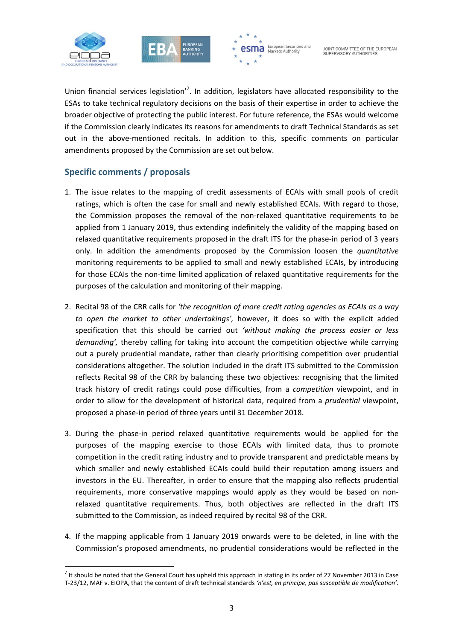





Union financial services legislation<sup>7</sup>. In addition, legislators have allocated responsibility to the ESAs to take technical regulatory decisions on the basis of their expertise in order to achieve the broader objective of protecting the public interest. For future reference, the ESAs would welcome if the Commission clearly indicates its reasons for amendments to draft Technical Standards as set out in the above‐mentioned recitals. In addition to this, specific comments on particular amendments proposed by the Commission are set out below.

#### **Specific comments / proposals**

- 1. The issue relates to the mapping of credit assessments of ECAIs with small pools of credit ratings, which is often the case for small and newly established ECAIs. With regard to those, the Commission proposes the removal of the non‐relaxed quantitative requirements to be applied from 1 January 2019, thus extending indefinitely the validity of the mapping based on relaxed quantitative requirements proposed in the draft ITS for the phase-in period of 3 years only. In addition the amendments proposed by the Commission loosen the *quantitative* monitoring requirements to be applied to small and newly established ECAIs, by introducing for those ECAIs the non-time limited application of relaxed quantitative requirements for the purposes of the calculation and monitoring of their mapping.
- 2. Recital 98 of the CRR calls for *'the recognition of more credit rating agencies as ECAIs as a way to open the market to other undertakings',* however, it does so with the explicit added specification that this should be carried out *'without making the process easier or less demanding',* thereby calling for taking into account the competition objective while carrying out a purely prudential mandate, rather than clearly prioritising competition over prudential considerations altogether. The solution included in the draft ITS submitted to the Commission reflects Recital 98 of the CRR by balancing these two objectives: recognising that the limited track history of credit ratings could pose difficulties, from a *competition* viewpoint, and in order to allow for the development of historical data, required from a *prudential* viewpoint, proposed a phase‐in period of three years until 31 December 2018.
- 3. During the phase‐in period relaxed quantitative requirements would be applied for the purposes of the mapping exercise to those ECAIs with limited data, thus to promote competition in the credit rating industry and to provide transparent and predictable means by which smaller and newly established ECAIs could build their reputation among issuers and investors in the EU. Thereafter, in order to ensure that the mapping also reflects prudential requirements, more conservative mappings would apply as they would be based on non‐ relaxed quantitative requirements. Thus, both objectives are reflected in the draft ITS submitted to the Commission, as indeed required by recital 98 of the CRR.
- 4. If the mapping applicable from 1 January 2019 onwards were to be deleted, in line with the Commission's proposed amendments, no prudential considerations would be reflected in the

 $^7$  It should be noted that the General Court has upheld this approach in stating in its order of 27 November 2013 in Case T‐23/12, MAF v. EIOPA, that the content of draft technical standards *'n'est, en principe, pas susceptible de modification'*.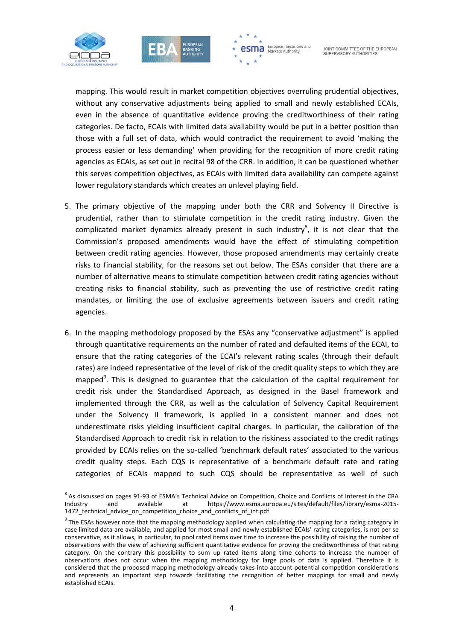





mapping. This would result in market competition objectives overruling prudential objectives, without any conservative adjustments being applied to small and newly established ECAIs, even in the absence of quantitative evidence proving the creditworthiness of their rating categories. De facto, ECAIs with limited data availability would be put in a better position than those with a full set of data, which would contradict the requirement to avoid 'making the process easier or less demanding' when providing for the recognition of more credit rating agencies as ECAIs, as set out in recital 98 of the CRR. In addition, it can be questioned whether this serves competition objectives, as ECAIs with limited data availability can compete against lower regulatory standards which creates an unlevel playing field.

- 5. The primary objective of the mapping under both the CRR and Solvency II Directive is prudential, rather than to stimulate competition in the credit rating industry. Given the complicated market dynamics already present in such industry<sup>8</sup>, it is not clear that the Commission's proposed amendments would have the effect of stimulating competition between credit rating agencies. However, those proposed amendments may certainly create risks to financial stability, for the reasons set out below. The ESAs consider that there are a number of alternative means to stimulate competition between credit rating agencies without creating risks to financial stability, such as preventing the use of restrictive credit rating mandates, or limiting the use of exclusive agreements between issuers and credit rating agencies.
- 6. In the mapping methodology proposed by the ESAs any "conservative adjustment" is applied through quantitative requirements on the number of rated and defaulted items of the ECAI, to ensure that the rating categories of the ECAI's relevant rating scales (through their default rates) are indeed representative of the level of risk of the credit quality steps to which they are mapped<sup>9</sup>. This is designed to guarantee that the calculation of the capital requirement for credit risk under the Standardised Approach, as designed in the Basel framework and implemented through the CRR, as well as the calculation of Solvency Capital Requirement under the Solvency II framework, is applied in a consistent manner and does not underestimate risks yielding insufficient capital charges. In particular, the calibration of the Standardised Approach to credit risk in relation to the riskiness associated to the credit ratings provided by ECAIs relies on the so-called 'benchmark default rates' associated to the various credit quality steps. Each CQS is representative of a benchmark default rate and rating categories of ECAIs mapped to such CQS should be representative as well of such

<sup>&</sup>lt;sup>8</sup> As discussed on pages 91-93 of ESMA's Technical Advice on Competition, Choice and Conflicts of Interest in the CRA Industry and available at https://www.esma.europa.eu/sites/default/files/library/esma-2015https://www.esma.europa.eu/sites/default/files/library/esma-2015-1472 technical advice on competition choice and conflicts of int.pdf

 $9$  The ESAs however note that the mapping methodology applied when calculating the mapping for a rating category in case limited data are available, and applied for most small and newly established ECAIs' rating categories, is not per se conservative, as it allows, in particular, to pool rated items over time to increase the possibility of raising the number of observations with the view of achieving sufficient quantitative evidence for proving the creditworthiness of that rating category. On the contrary this possibility to sum up rated items along time cohorts to increase the number of observations does not occur when the mapping methodology for large pools of data is applied. Therefore it is considered that the proposed mapping methodology already takes into account potential competition considerations and represents an important step towards facilitating the recognition of better mappings for small and newly established ECAIs.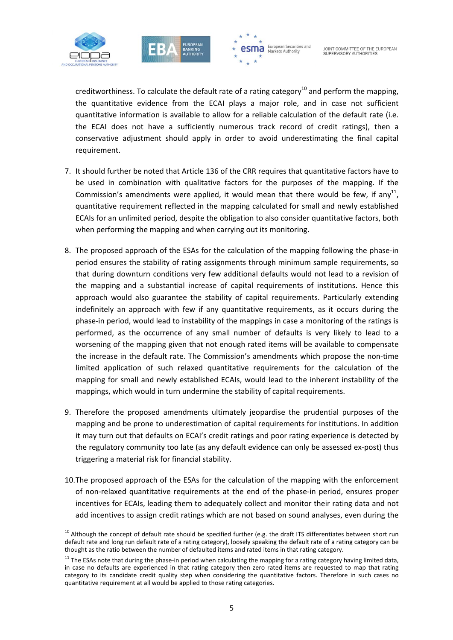





creditworthiness. To calculate the default rate of a rating category<sup>10</sup> and perform the mapping, the quantitative evidence from the ECAI plays a major role, and in case not sufficient quantitative information is available to allow for a reliable calculation of the default rate (i.e. the ECAI does not have a sufficiently numerous track record of credit ratings), then a conservative adjustment should apply in order to avoid underestimating the final capital requirement.

- 7. It should further be noted that Article 136 of the CRR requires that quantitative factors have to be used in combination with qualitative factors for the purposes of the mapping. If the Commission's amendments were applied, it would mean that there would be few, if any<sup>11</sup>, quantitative requirement reflected in the mapping calculated for small and newly established ECAIs for an unlimited period, despite the obligation to also consider quantitative factors, both when performing the mapping and when carrying out its monitoring.
- 8. The proposed approach of the ESAs for the calculation of the mapping following the phase‐in period ensures the stability of rating assignments through minimum sample requirements, so that during downturn conditions very few additional defaults would not lead to a revision of the mapping and a substantial increase of capital requirements of institutions. Hence this approach would also guarantee the stability of capital requirements. Particularly extending indefinitely an approach with few if any quantitative requirements, as it occurs during the phase‐in period, would lead to instability of the mappings in case a monitoring of the ratings is performed, as the occurrence of any small number of defaults is very likely to lead to a worsening of the mapping given that not enough rated items will be available to compensate the increase in the default rate. The Commission's amendments which propose the non‐time limited application of such relaxed quantitative requirements for the calculation of the mapping for small and newly established ECAIs, would lead to the inherent instability of the mappings, which would in turn undermine the stability of capital requirements.
- 9. Therefore the proposed amendments ultimately jeopardise the prudential purposes of the mapping and be prone to underestimation of capital requirements for institutions. In addition it may turn out that defaults on ECAI's credit ratings and poor rating experience is detected by the regulatory community too late (as any default evidence can only be assessed ex‐post) thus triggering a material risk for financial stability.
- 10.The proposed approach of the ESAs for the calculation of the mapping with the enforcement of non‐relaxed quantitative requirements at the end of the phase‐in period, ensures proper incentives for ECAIs, leading them to adequately collect and monitor their rating data and not add incentives to assign credit ratings which are not based on sound analyses, even during the

 $10$  Although the concept of default rate should be specified further (e.g. the draft ITS differentiates between short run default rate and long run default rate of a rating category), loosely speaking the default rate of a rating category can be thought as the ratio between the number of defaulted items and rated items in that rating category.

 $11$  The ESAs note that during the phase-in period when calculating the mapping for a rating category having limited data, in case no defaults are experienced in that rating category then zero rated items are requested to map that rating category to its candidate credit quality step when considering the quantitative factors. Therefore in such cases no quantitative requirement at all would be applied to those rating categories.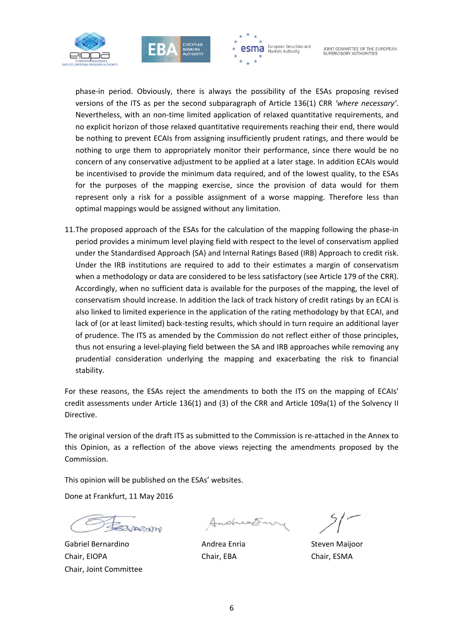





phase‐in period. Obviously, there is always the possibility of the ESAs proposing revised versions of the ITS as per the second subparagraph of Article 136(1) CRR *'where necessary'*. Nevertheless, with an non‐time limited application of relaxed quantitative requirements, and no explicit horizon of those relaxed quantitative requirements reaching their end, there would be nothing to prevent ECAIs from assigning insufficiently prudent ratings, and there would be nothing to urge them to appropriately monitor their performance, since there would be no concern of any conservative adjustment to be applied at a later stage. In addition ECAIs would be incentivised to provide the minimum data required, and of the lowest quality, to the ESAs for the purposes of the mapping exercise, since the provision of data would for them represent only a risk for a possible assignment of a worse mapping. Therefore less than optimal mappings would be assigned without any limitation.

11.The proposed approach of the ESAs for the calculation of the mapping following the phase‐in period provides a minimum level playing field with respect to the level of conservatism applied under the Standardised Approach (SA) and Internal Ratings Based (IRB) Approach to credit risk. Under the IRB institutions are required to add to their estimates a margin of conservatism when a methodology or data are considered to be less satisfactory (see Article 179 of the CRR). Accordingly, when no sufficient data is available for the purposes of the mapping, the level of conservatism should increase. In addition the lack of track history of credit ratings by an ECAI is also linked to limited experience in the application of the rating methodology by that ECAI, and lack of (or at least limited) back-testing results, which should in turn require an additional layer of prudence. The ITS as amended by the Commission do not reflect either of those principles, thus not ensuring a level‐playing field between the SA and IRB approaches while removing any prudential consideration underlying the mapping and exacerbating the risk to financial stability.

For these reasons, the ESAs reject the amendments to both the ITS on the mapping of ECAIs' credit assessments under Article 136(1) and (3) of the CRR and Article 109a(1) of the Solvency II Directive.

The original version of the draft ITS as submitted to the Commission is re‐attached in the Annex to this Opinion, as a reflection of the above views rejecting the amendments proposed by the Commission.

This opinion will be published on the ESAs' websites.

Done at Frankfurt, 11 May 2016

menton

Gabriel Bernardino Andrea Enria Steven Maijoor Chair, EIOPA Chair, EBA Chair, ESMA Chair, Joint Committee

Andreation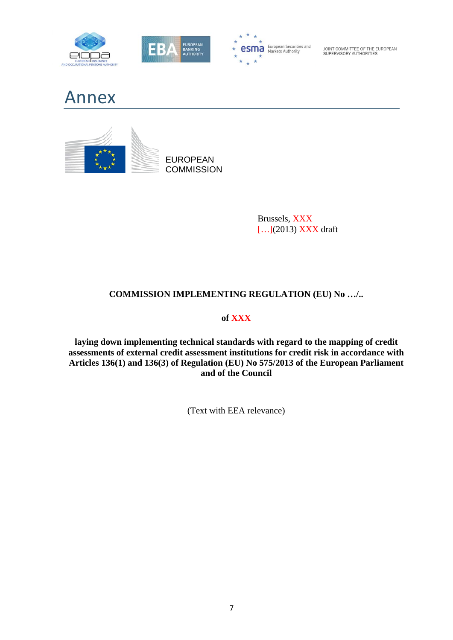







Brussels, XXX […](2013) XXX draft

## **COMMISSION IMPLEMENTING REGULATION (EU) No …/..**

### **of XXX**

**laying down implementing technical standards with regard to the mapping of credit assessments of external credit assessment institutions for credit risk in accordance with Articles 136(1) and 136(3) of Regulation (EU) No 575/2013 of the European Parliament and of the Council** 

(Text with EEA relevance)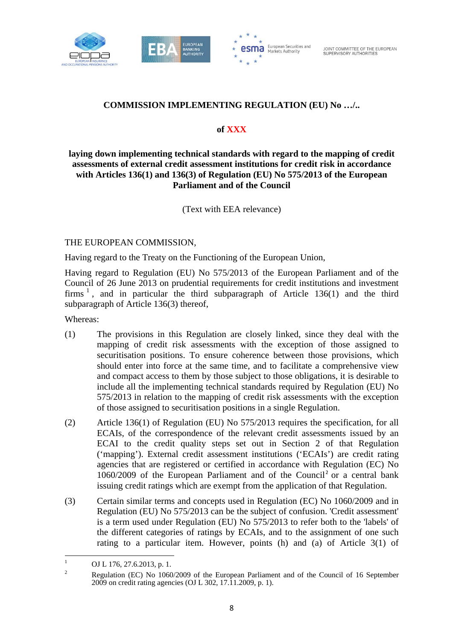



### **COMMISSION IMPLEMENTING REGULATION (EU) No …/..**

#### **of XXX**

#### **laying down implementing technical standards with regard to the mapping of credit assessments of external credit assessment institutions for credit risk in accordance with Articles 136(1) and 136(3) of Regulation (EU) No 575/2013 of the European Parliament and of the Council**

(Text with EEA relevance)

#### THE EUROPEAN COMMISSION,

Having regard to the Treaty on the Functioning of the European Union,

Having regard to Regulation (EU) No 575/2013 of the European Parliament and of the Council of 26 June 2013 on prudential requirements for credit institutions and investment firms  $\frac{1}{1}$ , and in particular the third subparagraph of Article 136(1) and the third subparagraph of Article 136(3) thereof,

Whereas:

- (1) The provisions in this Regulation are closely linked, since they deal with the mapping of credit risk assessments with the exception of those assigned to securitisation positions. To ensure coherence between those provisions, which should enter into force at the same time, and to facilitate a comprehensive view and compact access to them by those subject to those obligations, it is desirable to include all the implementing technical standards required by Regulation (EU) No 575/2013 in relation to the mapping of credit risk assessments with the exception of those assigned to securitisation positions in a single Regulation.
- (2) Article 136(1) of Regulation (EU) No 575/2013 requires the specification, for all ECAIs, of the correspondence of the relevant credit assessments issued by an ECAI to the credit quality steps set out in Section 2 of that Regulation ('mapping'). External credit assessment institutions ('ECAIs') are credit rating agencies that are registered or certified in accordance with Regulation (EC) No 1060/2009 of the European Parliament and of the Council<sup>2</sup> or a central bank issuing credit ratings which are exempt from the application of that Regulation.
- (3) Certain similar terms and concepts used in Regulation (EC) No 1060/2009 and in Regulation (EU) No 575/2013 can be the subject of confusion. 'Credit assessment' is a term used under Regulation (EU) No 575/2013 to refer both to the 'labels' of the different categories of ratings by ECAIs, and to the assignment of one such rating to a particular item. However, points (h) and (a) of Article 3(1) of

<sup>&</sup>lt;u> Andreas Andreas Andreas Andreas Andreas Andreas Andreas Andreas Andreas Andreas Andreas Andreas Andreas Andr</u> 1 OJ L 176, 27.6.2013, p. 1.

 $\overline{2}$  Regulation (EC) No 1060/2009 of the European Parliament and of the Council of 16 September 2009 on credit rating agencies (OJ L 302, 17.11.2009, p. 1).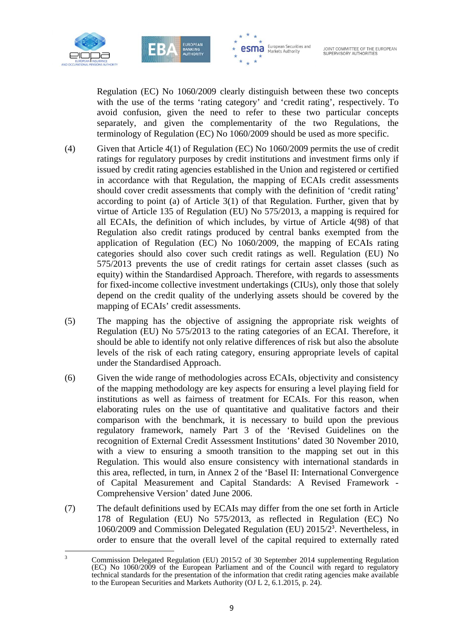

<u> Andreas Andreas Andreas Andreas Andreas Andreas Andreas Andreas Andreas Andreas Andreas Andreas Andreas Andr</u>



JOINT COMMITTEE OF THE EUROPEAN<br>SUPERVISORY AUTHORITIES

Regulation (EC) No 1060/2009 clearly distinguish between these two concepts with the use of the terms 'rating category' and 'credit rating', respectively. To avoid confusion, given the need to refer to these two particular concepts separately, and given the complementarity of the two Regulations, the terminology of Regulation (EC) No 1060/2009 should be used as more specific.

- (4) Given that Article 4(1) of Regulation (EC) No 1060/2009 permits the use of credit ratings for regulatory purposes by credit institutions and investment firms only if issued by credit rating agencies established in the Union and registered or certified in accordance with that Regulation, the mapping of ECAIs credit assessments should cover credit assessments that comply with the definition of 'credit rating' according to point (a) of Article 3(1) of that Regulation. Further, given that by virtue of Article 135 of Regulation (EU) No 575/2013, a mapping is required for all ECAIs, the definition of which includes, by virtue of Article 4(98) of that Regulation also credit ratings produced by central banks exempted from the application of Regulation (EC) No 1060/2009, the mapping of ECAIs rating categories should also cover such credit ratings as well. Regulation (EU) No 575/2013 prevents the use of credit ratings for certain asset classes (such as equity) within the Standardised Approach. Therefore, with regards to assessments for fixed-income collective investment undertakings (CIUs), only those that solely depend on the credit quality of the underlying assets should be covered by the mapping of ECAIs' credit assessments.
- (5) The mapping has the objective of assigning the appropriate risk weights of Regulation (EU) No 575/2013 to the rating categories of an ECAI. Therefore, it should be able to identify not only relative differences of risk but also the absolute levels of the risk of each rating category, ensuring appropriate levels of capital under the Standardised Approach.
- (6) Given the wide range of methodologies across ECAIs, objectivity and consistency of the mapping methodology are key aspects for ensuring a level playing field for institutions as well as fairness of treatment for ECAIs. For this reason, when elaborating rules on the use of quantitative and qualitative factors and their comparison with the benchmark, it is necessary to build upon the previous regulatory framework, namely Part 3 of the 'Revised Guidelines on the recognition of External Credit Assessment Institutions' dated 30 November 2010, with a view to ensuring a smooth transition to the mapping set out in this Regulation. This would also ensure consistency with international standards in this area, reflected, in turn, in Annex 2 of the 'Basel II: International Convergence of Capital Measurement and Capital Standards: A Revised Framework - Comprehensive Version' dated June 2006.
- (7) The default definitions used by ECAIs may differ from the one set forth in Article 178 of Regulation (EU) No 575/2013, as reflected in Regulation (EC) No 1060/2009 and Commission Delegated Regulation (EU) 2015/2<sup>3</sup> . Nevertheless, in order to ensure that the overall level of the capital required to externally rated

<sup>3</sup> Commission Delegated Regulation (EU) 2015/2 of 30 September 2014 supplementing Regulation (EC) No 1060/2009 of the European Parliament and of the Council with regard to regulatory technical standards for the presentation of the information that credit rating agencies make available to the European Securities and Markets Authority (OJ L 2, 6.1.2015, p. 24).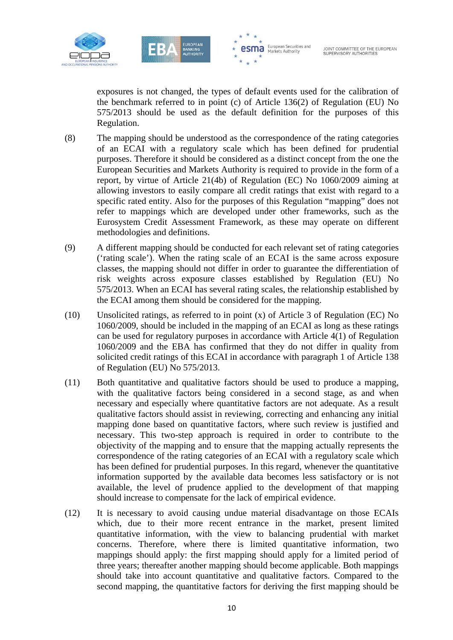





exposures is not changed, the types of default events used for the calibration of the benchmark referred to in point (c) of Article 136(2) of Regulation (EU) No 575/2013 should be used as the default definition for the purposes of this Regulation.

- (8) The mapping should be understood as the correspondence of the rating categories of an ECAI with a regulatory scale which has been defined for prudential purposes. Therefore it should be considered as a distinct concept from the one the European Securities and Markets Authority is required to provide in the form of a report, by virtue of Article 21(4b) of Regulation (EC) No 1060/2009 aiming at allowing investors to easily compare all credit ratings that exist with regard to a specific rated entity. Also for the purposes of this Regulation "mapping" does not refer to mappings which are developed under other frameworks, such as the Eurosystem Credit Assessment Framework, as these may operate on different methodologies and definitions.
- (9) A different mapping should be conducted for each relevant set of rating categories ('rating scale'). When the rating scale of an ECAI is the same across exposure classes, the mapping should not differ in order to guarantee the differentiation of risk weights across exposure classes established by Regulation (EU) No 575/2013. When an ECAI has several rating scales, the relationship established by the ECAI among them should be considered for the mapping.
- (10) Unsolicited ratings, as referred to in point (x) of Article 3 of Regulation (EC) No 1060/2009, should be included in the mapping of an ECAI as long as these ratings can be used for regulatory purposes in accordance with Article 4(1) of Regulation 1060/2009 and the EBA has confirmed that they do not differ in quality from solicited credit ratings of this ECAI in accordance with paragraph 1 of Article 138 of Regulation (EU) No 575/2013.
- (11) Both quantitative and qualitative factors should be used to produce a mapping, with the qualitative factors being considered in a second stage, as and when necessary and especially where quantitative factors are not adequate. As a result qualitative factors should assist in reviewing, correcting and enhancing any initial mapping done based on quantitative factors, where such review is justified and necessary. This two-step approach is required in order to contribute to the objectivity of the mapping and to ensure that the mapping actually represents the correspondence of the rating categories of an ECAI with a regulatory scale which has been defined for prudential purposes. In this regard, whenever the quantitative information supported by the available data becomes less satisfactory or is not available, the level of prudence applied to the development of that mapping should increase to compensate for the lack of empirical evidence.
- (12) It is necessary to avoid causing undue material disadvantage on those ECAIs which, due to their more recent entrance in the market, present limited quantitative information, with the view to balancing prudential with market concerns. Therefore, where there is limited quantitative information, two mappings should apply: the first mapping should apply for a limited period of three years; thereafter another mapping should become applicable. Both mappings should take into account quantitative and qualitative factors. Compared to the second mapping, the quantitative factors for deriving the first mapping should be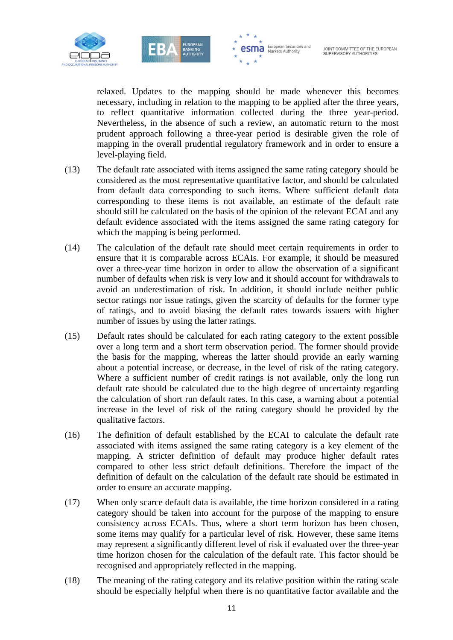



**esma** European Securities and

relaxed. Updates to the mapping should be made whenever this becomes necessary, including in relation to the mapping to be applied after the three years, to reflect quantitative information collected during the three year-period. Nevertheless, in the absence of such a review, an automatic return to the most prudent approach following a three-year period is desirable given the role of mapping in the overall prudential regulatory framework and in order to ensure a level-playing field.

- (13) The default rate associated with items assigned the same rating category should be considered as the most representative quantitative factor, and should be calculated from default data corresponding to such items. Where sufficient default data corresponding to these items is not available, an estimate of the default rate should still be calculated on the basis of the opinion of the relevant ECAI and any default evidence associated with the items assigned the same rating category for which the mapping is being performed.
- (14) The calculation of the default rate should meet certain requirements in order to ensure that it is comparable across ECAIs. For example, it should be measured over a three-year time horizon in order to allow the observation of a significant number of defaults when risk is very low and it should account for withdrawals to avoid an underestimation of risk. In addition, it should include neither public sector ratings nor issue ratings, given the scarcity of defaults for the former type of ratings, and to avoid biasing the default rates towards issuers with higher number of issues by using the latter ratings.
- (15) Default rates should be calculated for each rating category to the extent possible over a long term and a short term observation period. The former should provide the basis for the mapping, whereas the latter should provide an early warning about a potential increase, or decrease, in the level of risk of the rating category. Where a sufficient number of credit ratings is not available, only the long run default rate should be calculated due to the high degree of uncertainty regarding the calculation of short run default rates. In this case, a warning about a potential increase in the level of risk of the rating category should be provided by the qualitative factors.
- (16) The definition of default established by the ECAI to calculate the default rate associated with items assigned the same rating category is a key element of the mapping. A stricter definition of default may produce higher default rates compared to other less strict default definitions. Therefore the impact of the definition of default on the calculation of the default rate should be estimated in order to ensure an accurate mapping.
- (17) When only scarce default data is available, the time horizon considered in a rating category should be taken into account for the purpose of the mapping to ensure consistency across ECAIs. Thus, where a short term horizon has been chosen, some items may qualify for a particular level of risk. However, these same items may represent a significantly different level of risk if evaluated over the three-year time horizon chosen for the calculation of the default rate. This factor should be recognised and appropriately reflected in the mapping.
- (18) The meaning of the rating category and its relative position within the rating scale should be especially helpful when there is no quantitative factor available and the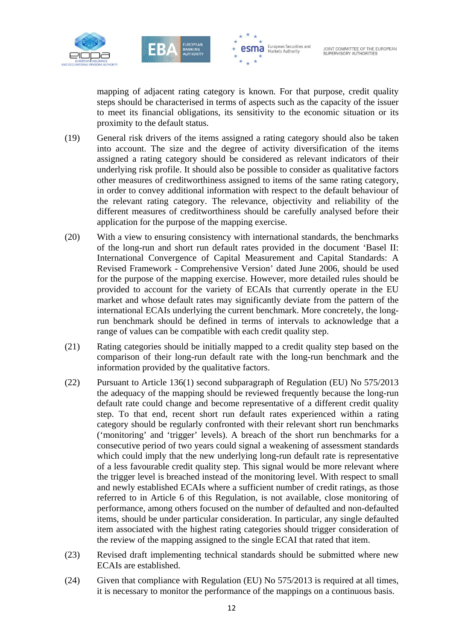



**esma** European Securities and

mapping of adjacent rating category is known. For that purpose, credit quality steps should be characterised in terms of aspects such as the capacity of the issuer to meet its financial obligations, its sensitivity to the economic situation or its proximity to the default status.

- (19) General risk drivers of the items assigned a rating category should also be taken into account. The size and the degree of activity diversification of the items assigned a rating category should be considered as relevant indicators of their underlying risk profile. It should also be possible to consider as qualitative factors other measures of creditworthiness assigned to items of the same rating category, in order to convey additional information with respect to the default behaviour of the relevant rating category. The relevance, objectivity and reliability of the different measures of creditworthiness should be carefully analysed before their application for the purpose of the mapping exercise.
- (20) With a view to ensuring consistency with international standards, the benchmarks of the long-run and short run default rates provided in the document 'Basel II: International Convergence of Capital Measurement and Capital Standards: A Revised Framework - Comprehensive Version' dated June 2006, should be used for the purpose of the mapping exercise. However, more detailed rules should be provided to account for the variety of ECAIs that currently operate in the EU market and whose default rates may significantly deviate from the pattern of the international ECAIs underlying the current benchmark. More concretely, the longrun benchmark should be defined in terms of intervals to acknowledge that a range of values can be compatible with each credit quality step.
- (21) Rating categories should be initially mapped to a credit quality step based on the comparison of their long-run default rate with the long-run benchmark and the information provided by the qualitative factors.
- (22) Pursuant to Article 136(1) second subparagraph of Regulation (EU) No 575/2013 the adequacy of the mapping should be reviewed frequently because the long-run default rate could change and become representative of a different credit quality step. To that end, recent short run default rates experienced within a rating category should be regularly confronted with their relevant short run benchmarks ('monitoring' and 'trigger' levels). A breach of the short run benchmarks for a consecutive period of two years could signal a weakening of assessment standards which could imply that the new underlying long-run default rate is representative of a less favourable credit quality step. This signal would be more relevant where the trigger level is breached instead of the monitoring level. With respect to small and newly established ECAIs where a sufficient number of credit ratings, as those referred to in Article 6 of this Regulation, is not available, close monitoring of performance, among others focused on the number of defaulted and non-defaulted items, should be under particular consideration. In particular, any single defaulted item associated with the highest rating categories should trigger consideration of the review of the mapping assigned to the single ECAI that rated that item.
- (23) Revised draft implementing technical standards should be submitted where new ECAIs are established.
- (24) Given that compliance with Regulation (EU) No 575/2013 is required at all times, it is necessary to monitor the performance of the mappings on a continuous basis.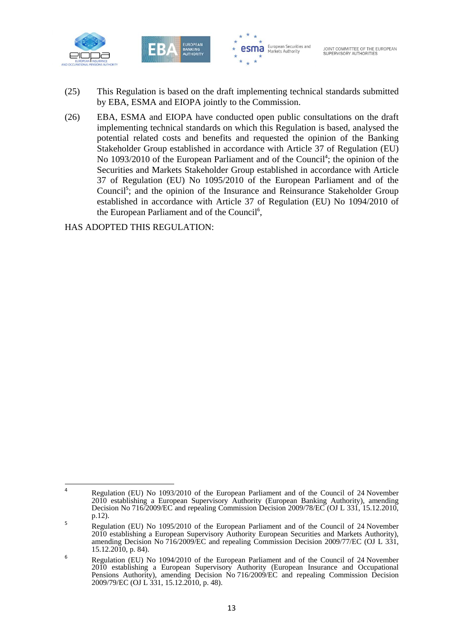



- (25) This Regulation is based on the draft implementing technical standards submitted by EBA, ESMA and EIOPA jointly to the Commission.
- (26) EBA, ESMA and EIOPA have conducted open public consultations on the draft implementing technical standards on which this Regulation is based, analysed the potential related costs and benefits and requested the opinion of the Banking Stakeholder Group established in accordance with Article 37 of Regulation (EU) No 1093/2010 of the European Parliament and of the Council<sup>4</sup>; the opinion of the Securities and Markets Stakeholder Group established in accordance with Article 37 of Regulation (EU) No 1095/2010 of the European Parliament and of the Council<sup>5</sup>; and the opinion of the Insurance and Reinsurance Stakeholder Group established in accordance with Article 37 of Regulation (EU) No 1094/2010 of the European Parliament and of the Council<sup>6</sup>,

HAS ADOPTED THIS REGULATION:

<sup>4</sup> Regulation (EU) No 1093/2010 of the European Parliament and of the Council of 24 November 2010 establishing a European Supervisory Authority (European Banking Authority), amending Decision No 716/2009/EC and repealing Commission Decision 2009/78/EC (OJ L 331, 15.12.2010, p.12).

<sup>5</sup> Regulation (EU) No 1095/2010 of the European Parliament and of the Council of 24 November 2010 establishing a European Supervisory Authority European Securities and Markets Authority), amending Decision No 716/2009/EC and repealing Commission Decision 2009/77/EC (OJ L 331, 15.12.2010, p. 84).

<sup>6</sup> Regulation (EU) No 1094/2010 of the European Parliament and of the Council of 24 November 2010 establishing a European Supervisory Authority (European Insurance and Occupational Pensions Authority), amending Decision No 716/2009/EC and repealing Commission Decision 2009/79/EC (OJ L 331, 15.12.2010, p. 48).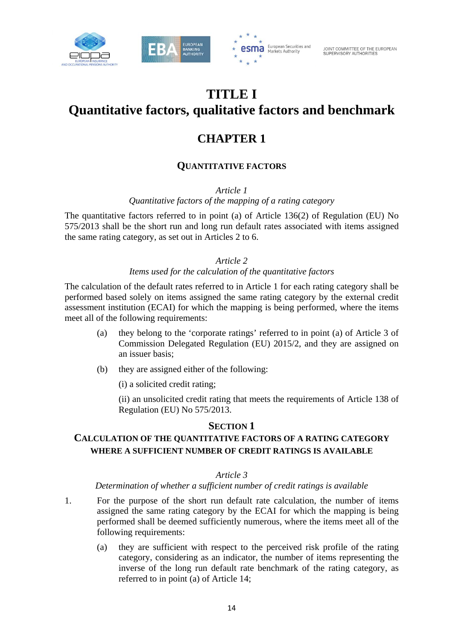



## **TITLE I Quantitative factors, qualitative factors and benchmark**

## **CHAPTER 1**

## **QUANTITATIVE FACTORS**

*Article 1* 

*Quantitative factors of the mapping of a rating category* 

The quantitative factors referred to in point (a) of Article 136(2) of Regulation (EU) No 575/2013 shall be the short run and long run default rates associated with items assigned the same rating category, as set out in Articles 2 to 6.

#### *Article 2*

#### *Items used for the calculation of the quantitative factors*

The calculation of the default rates referred to in Article 1 for each rating category shall be performed based solely on items assigned the same rating category by the external credit assessment institution (ECAI) for which the mapping is being performed, where the items meet all of the following requirements:

- (a) they belong to the 'corporate ratings' referred to in point (a) of Article 3 of Commission Delegated Regulation (EU) 2015/2, and they are assigned on an issuer basis;
- (b) they are assigned either of the following:

(i) a solicited credit rating;

(ii) an unsolicited credit rating that meets the requirements of Article 138 of Regulation (EU) No 575/2013.

### **SECTION 1**

### **CALCULATION OF THE QUANTITATIVE FACTORS OF A RATING CATEGORY WHERE A SUFFICIENT NUMBER OF CREDIT RATINGS IS AVAILABLE**

#### *Article 3*

#### *Determination of whether a sufficient number of credit ratings is available*

- 1. For the purpose of the short run default rate calculation, the number of items assigned the same rating category by the ECAI for which the mapping is being performed shall be deemed sufficiently numerous, where the items meet all of the following requirements:
	- (a) they are sufficient with respect to the perceived risk profile of the rating category, considering as an indicator, the number of items representing the inverse of the long run default rate benchmark of the rating category, as referred to in point (a) of Article 14;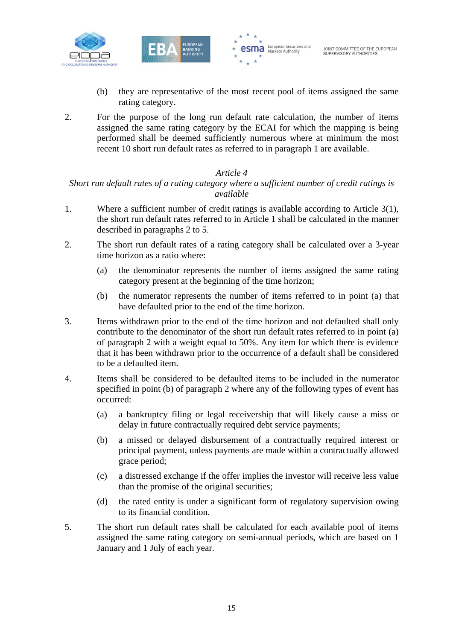





- (b) they are representative of the most recent pool of items assigned the same rating category.
- 2. For the purpose of the long run default rate calculation, the number of items assigned the same rating category by the ECAI for which the mapping is being performed shall be deemed sufficiently numerous where at minimum the most recent 10 short run default rates as referred to in paragraph 1 are available.

#### *Article 4*

#### *Short run default rates of a rating category where a sufficient number of credit ratings is available*

- 1. Where a sufficient number of credit ratings is available according to Article 3(1), the short run default rates referred to in Article 1 shall be calculated in the manner described in paragraphs 2 to 5.
- 2. The short run default rates of a rating category shall be calculated over a 3-year time horizon as a ratio where:
	- (a) the denominator represents the number of items assigned the same rating category present at the beginning of the time horizon;
	- (b) the numerator represents the number of items referred to in point (a) that have defaulted prior to the end of the time horizon.
- 3. Items withdrawn prior to the end of the time horizon and not defaulted shall only contribute to the denominator of the short run default rates referred to in point (a) of paragraph 2 with a weight equal to 50%. Any item for which there is evidence that it has been withdrawn prior to the occurrence of a default shall be considered to be a defaulted item.
- 4. Items shall be considered to be defaulted items to be included in the numerator specified in point (b) of paragraph 2 where any of the following types of event has occurred:
	- (a) a bankruptcy filing or legal receivership that will likely cause a miss or delay in future contractually required debt service payments;
	- (b) a missed or delayed disbursement of a contractually required interest or principal payment, unless payments are made within a contractually allowed grace period;
	- (c) a distressed exchange if the offer implies the investor will receive less value than the promise of the original securities;
	- (d) the rated entity is under a significant form of regulatory supervision owing to its financial condition.
- 5. The short run default rates shall be calculated for each available pool of items assigned the same rating category on semi-annual periods, which are based on 1 January and 1 July of each year.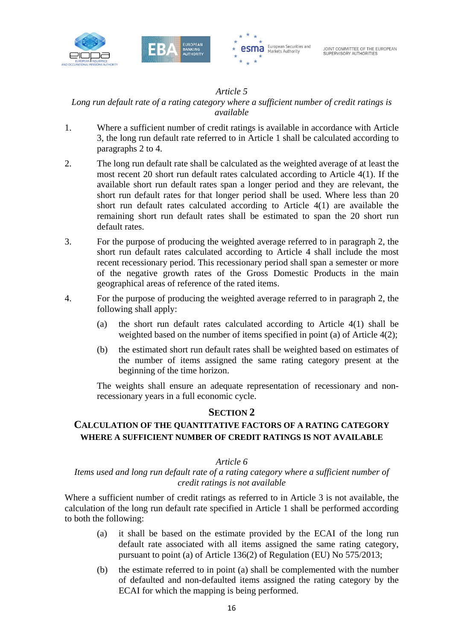



#### *Article 5*

## *Long run default rate of a rating category where a sufficient number of credit ratings is available*

- 1. Where a sufficient number of credit ratings is available in accordance with Article 3, the long run default rate referred to in Article 1 shall be calculated according to paragraphs 2 to 4.
- 2. The long run default rate shall be calculated as the weighted average of at least the most recent 20 short run default rates calculated according to Article 4(1). If the available short run default rates span a longer period and they are relevant, the short run default rates for that longer period shall be used. Where less than 20 short run default rates calculated according to Article 4(1) are available the remaining short run default rates shall be estimated to span the 20 short run default rates.
- 3. For the purpose of producing the weighted average referred to in paragraph 2, the short run default rates calculated according to Article 4 shall include the most recent recessionary period. This recessionary period shall span a semester or more of the negative growth rates of the Gross Domestic Products in the main geographical areas of reference of the rated items.
- 4. For the purpose of producing the weighted average referred to in paragraph 2, the following shall apply:
	- (a) the short run default rates calculated according to Article 4(1) shall be weighted based on the number of items specified in point (a) of Article 4(2);
	- (b) the estimated short run default rates shall be weighted based on estimates of the number of items assigned the same rating category present at the beginning of the time horizon.

The weights shall ensure an adequate representation of recessionary and nonrecessionary years in a full economic cycle.

#### **SECTION 2**

### **CALCULATION OF THE QUANTITATIVE FACTORS OF A RATING CATEGORY WHERE A SUFFICIENT NUMBER OF CREDIT RATINGS IS NOT AVAILABLE**

#### *Article 6*

#### *Items used and long run default rate of a rating category where a sufficient number of credit ratings is not available*

Where a sufficient number of credit ratings as referred to in Article 3 is not available, the calculation of the long run default rate specified in Article 1 shall be performed according to both the following:

- (a) it shall be based on the estimate provided by the ECAI of the long run default rate associated with all items assigned the same rating category, pursuant to point (a) of Article 136(2) of Regulation (EU) No 575/2013;
- (b) the estimate referred to in point (a) shall be complemented with the number of defaulted and non-defaulted items assigned the rating category by the ECAI for which the mapping is being performed.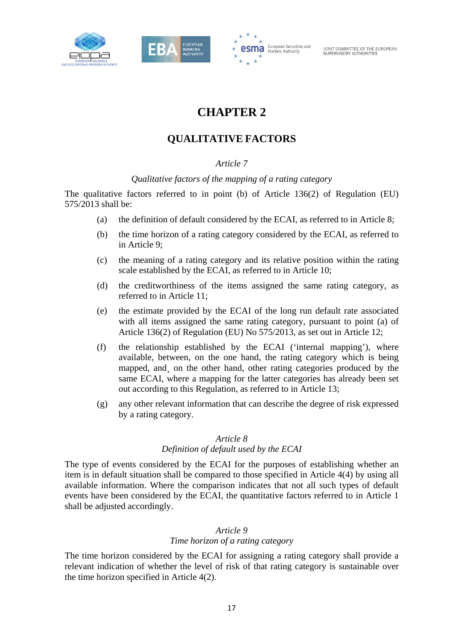





## **CHAPTER 2**

## **QUALITATIVE FACTORS**

#### *Article 7*

#### *Qualitative factors of the mapping of a rating category*

The qualitative factors referred to in point (b) of Article 136(2) of Regulation (EU) 575/2013 shall be:

- (a) the definition of default considered by the ECAI, as referred to in Article 8;
- (b) the time horizon of a rating category considered by the ECAI, as referred to in Article 9;
- (c) the meaning of a rating category and its relative position within the rating scale established by the ECAI, as referred to in Article 10;
- (d) the creditworthiness of the items assigned the same rating category, as referred to in Article 11;
- (e) the estimate provided by the ECAI of the long run default rate associated with all items assigned the same rating category, pursuant to point (a) of Article 136(2) of Regulation (EU) No 575/2013, as set out in Article 12;
- (f) the relationship established by the ECAI ('internal mapping'), where available, between, on the one hand, the rating category which is being mapped, and on the other hand, other rating categories produced by the same ECAI, where a mapping for the latter categories has already been set out according to this Regulation, as referred to in Article 13;
- (g) any other relevant information that can describe the degree of risk expressed by a rating category.

#### *Article 8*

#### *Definition of default used by the ECAI*

The type of events considered by the ECAI for the purposes of establishing whether an item is in default situation shall be compared to those specified in Article 4(4) by using all available information. Where the comparison indicates that not all such types of default events have been considered by the ECAI, the quantitative factors referred to in Article 1 shall be adjusted accordingly.

#### *Article 9*

#### *Time horizon of a rating category*

The time horizon considered by the ECAI for assigning a rating category shall provide a relevant indication of whether the level of risk of that rating category is sustainable over the time horizon specified in Article 4(2).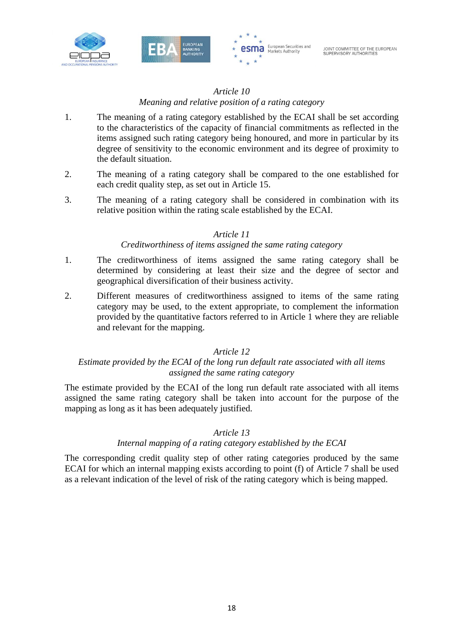





#### *Article 10*

#### *Meaning and relative position of a rating category*

- 1. The meaning of a rating category established by the ECAI shall be set according to the characteristics of the capacity of financial commitments as reflected in the items assigned such rating category being honoured, and more in particular by its degree of sensitivity to the economic environment and its degree of proximity to the default situation.
- 2. The meaning of a rating category shall be compared to the one established for each credit quality step, as set out in Article 15.
- 3. The meaning of a rating category shall be considered in combination with its relative position within the rating scale established by the ECAI.

#### *Article 11*

#### *Creditworthiness of items assigned the same rating category*

- 1. The creditworthiness of items assigned the same rating category shall be determined by considering at least their size and the degree of sector and geographical diversification of their business activity.
- 2. Different measures of creditworthiness assigned to items of the same rating category may be used, to the extent appropriate, to complement the information provided by the quantitative factors referred to in Article 1 where they are reliable and relevant for the mapping.

#### *Article 12*

#### *Estimate provided by the ECAI of the long run default rate associated with all items assigned the same rating category*

The estimate provided by the ECAI of the long run default rate associated with all items assigned the same rating category shall be taken into account for the purpose of the mapping as long as it has been adequately justified.

#### *Article 13*

#### *Internal mapping of a rating category established by the ECAI*

The corresponding credit quality step of other rating categories produced by the same ECAI for which an internal mapping exists according to point (f) of Article 7 shall be used as a relevant indication of the level of risk of the rating category which is being mapped.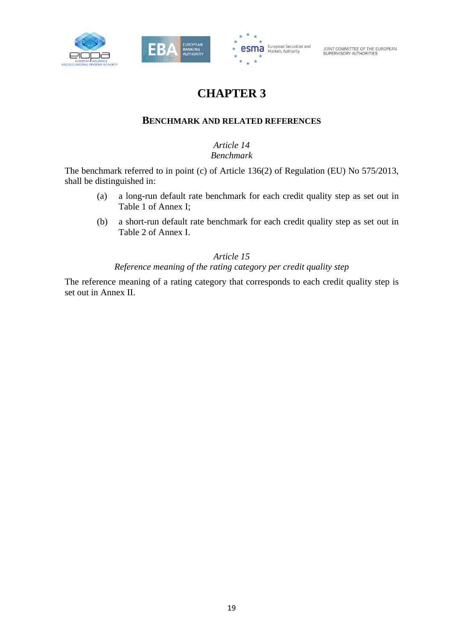



## **CHAPTER 3**

### **BENCHMARK AND RELATED REFERENCES**

### *Article 14 Benchmark*

The benchmark referred to in point (c) of Article 136(2) of Regulation (EU) No 575/2013, shall be distinguished in:

- (a) a long-run default rate benchmark for each credit quality step as set out in Table 1 of Annex I;
- (b) a short-run default rate benchmark for each credit quality step as set out in Table 2 of Annex I.

#### *Article 15*

#### *Reference meaning of the rating category per credit quality step*

The reference meaning of a rating category that corresponds to each credit quality step is set out in Annex II.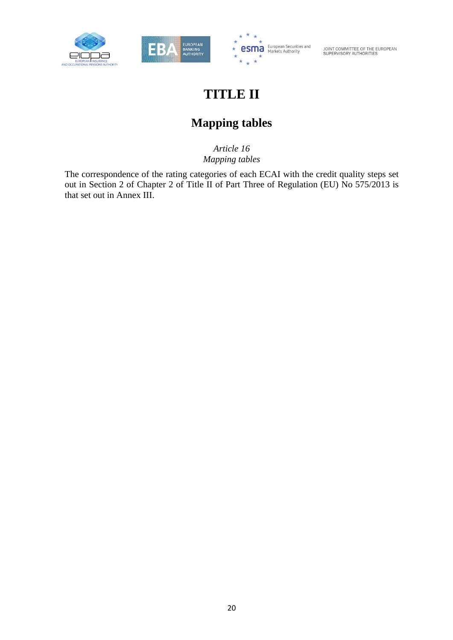





## **TITLE II**

## **Mapping tables**

*Article 16 Mapping tables* 

The correspondence of the rating categories of each ECAI with the credit quality steps set out in Section 2 of Chapter 2 of Title II of Part Three of Regulation (EU) No 575/2013 is that set out in Annex III.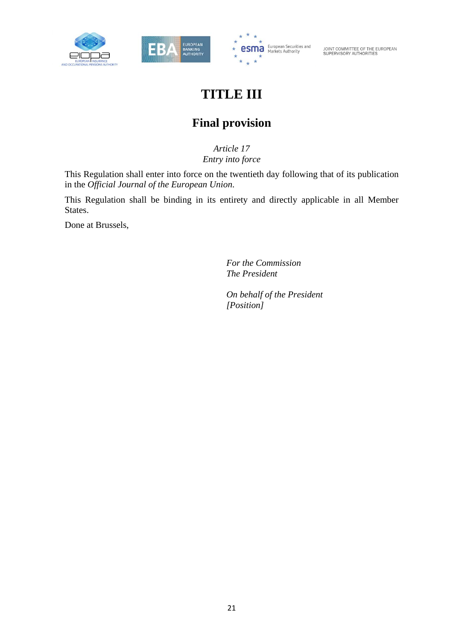





## **TITLE III**

## **Final provision**

*Article 17 Entry into force* 

This Regulation shall enter into force on the twentieth day following that of its publication in the *Official Journal of the European Union*.

This Regulation shall be binding in its entirety and directly applicable in all Member States.

Done at Brussels,

 *For the Commission The President* 

 *On behalf of the President [Position]*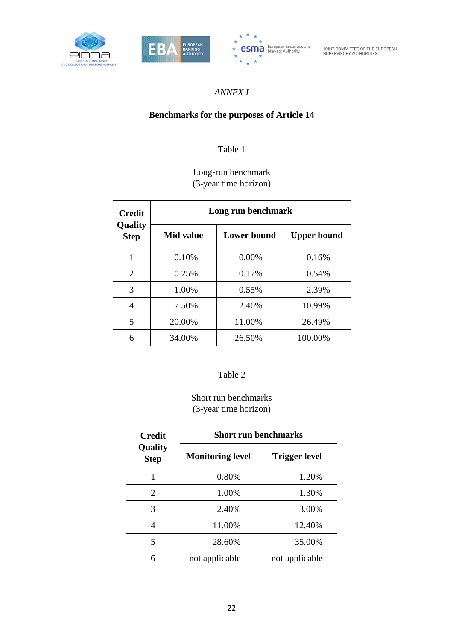





### *ANNEX I*

### **Benchmarks for the purposes of Article 14**

## Table 1

## Long-run benchmark (3-year time horizon)

| <b>Credit</b>          | Long run benchmark |                    |                    |  |  |  |  |  |  |
|------------------------|--------------------|--------------------|--------------------|--|--|--|--|--|--|
| Quality<br><b>Step</b> | Mid value          | <b>Lower bound</b> | <b>Upper bound</b> |  |  |  |  |  |  |
| 1                      | 0.10%              | $0.00\%$           | 0.16%              |  |  |  |  |  |  |
| 2                      | 0.25%              | 0.17%              | 0.54%              |  |  |  |  |  |  |
| 3                      | 1.00%              | $0.55\%$           | 2.39%              |  |  |  |  |  |  |
| 4                      | 7.50%              | 2.40%              | 10.99%             |  |  |  |  |  |  |
| 5                      | 20.00%             | 11.00%             | 26.49%             |  |  |  |  |  |  |
| 6                      | 34.00%             | 26.50%             | 100.00%            |  |  |  |  |  |  |

#### Table 2

Short run benchmarks (3-year time horizon)

| <b>Credit</b>          | <b>Short run benchmarks</b> |                      |  |  |  |  |
|------------------------|-----------------------------|----------------------|--|--|--|--|
| Quality<br><b>Step</b> | <b>Monitoring level</b>     | <b>Trigger level</b> |  |  |  |  |
|                        | 0.80%                       | 1.20%                |  |  |  |  |
| 2                      | 1.00%                       | 1.30%                |  |  |  |  |
| 3                      | 2.40%                       | 3.00%                |  |  |  |  |
| 4                      | 11.00%                      | 12.40%               |  |  |  |  |
| 5                      | 28.60%                      | 35.00%               |  |  |  |  |
| 6                      | not applicable              | not applicable       |  |  |  |  |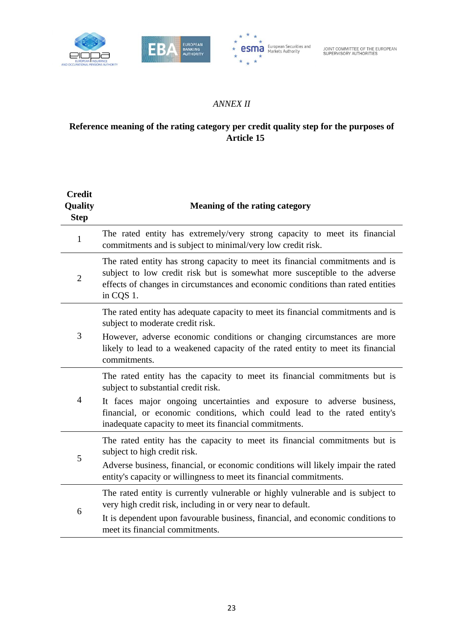



### *ANNEX II*

## **Reference meaning of the rating category per credit quality step for the purposes of Article 15**

| <b>Credit</b><br>Quality<br><b>Step</b> | <b>Meaning of the rating category</b>                                                                                                                                                                                                                       |
|-----------------------------------------|-------------------------------------------------------------------------------------------------------------------------------------------------------------------------------------------------------------------------------------------------------------|
| 1                                       | The rated entity has extremely/very strong capacity to meet its financial<br>commitments and is subject to minimal/very low credit risk.                                                                                                                    |
| $\overline{2}$                          | The rated entity has strong capacity to meet its financial commitments and is<br>subject to low credit risk but is somewhat more susceptible to the adverse<br>effects of changes in circumstances and economic conditions than rated entities<br>in CQS 1. |
|                                         | The rated entity has adequate capacity to meet its financial commitments and is<br>subject to moderate credit risk.                                                                                                                                         |
| 3                                       | However, adverse economic conditions or changing circumstances are more<br>likely to lead to a weakened capacity of the rated entity to meet its financial<br>commitments.                                                                                  |
|                                         | The rated entity has the capacity to meet its financial commitments but is<br>subject to substantial credit risk.                                                                                                                                           |
| 4                                       | It faces major ongoing uncertainties and exposure to adverse business,<br>financial, or economic conditions, which could lead to the rated entity's<br>inadequate capacity to meet its financial commitments.                                               |
| 5                                       | The rated entity has the capacity to meet its financial commitments but is<br>subject to high credit risk.                                                                                                                                                  |
|                                         | Adverse business, financial, or economic conditions will likely impair the rated<br>entity's capacity or willingness to meet its financial commitments.                                                                                                     |
| 6                                       | The rated entity is currently vulnerable or highly vulnerable and is subject to<br>very high credit risk, including in or very near to default.                                                                                                             |
|                                         | It is dependent upon favourable business, financial, and economic conditions to<br>meet its financial commitments.                                                                                                                                          |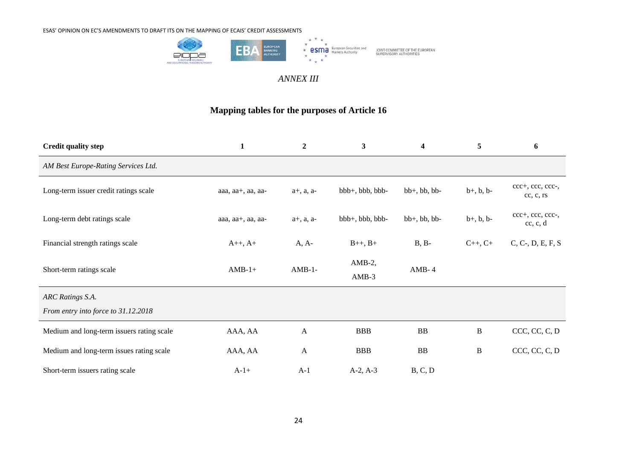

#### *ANNEX III*

#### **Mapping tables for the purposes of Article 16**

| <b>Credit quality step</b>                | $\mathbf{1}$           | $\boldsymbol{2}$  | $\mathbf{3}$         | $\overline{\mathbf{4}}$ | 5               | 6                             |
|-------------------------------------------|------------------------|-------------------|----------------------|-------------------------|-----------------|-------------------------------|
| AM Best Europe-Rating Services Ltd.       |                        |                   |                      |                         |                 |                               |
| Long-term issuer credit ratings scale     | aaa, $aa+$ , aa, $aa-$ | $a+$ , $a$ , $a-$ | $bbb+, bbb, bbb$     | $bb+, bb, bb$           | $b+, b, b-$     | ccc+, ccc, ccc-,<br>cc, c, rs |
| Long-term debt ratings scale              | aaa, aa+, aa, aa-      | $a+$ , $a$ , $a-$ | $bbb+, bbb, bbb$     | $bb+, bb, bb$           | $b+, b, b-$     | ccc+, ccc, ccc-,<br>cc, c, d  |
| Financial strength ratings scale          | $A_{++}, A_{+}$        | $A, A-$           | $B_{++}, B_{+}$      | $B, B-$                 | $C_{++}, C_{+}$ | $C, C-, D, E, F, S$           |
| Short-term ratings scale                  | $AMB-1+$               | $AMB-1-$          | $AMB-2$ ,<br>$AMB-3$ | $AMB-4$                 |                 |                               |
| ARC Ratings S.A.                          |                        |                   |                      |                         |                 |                               |
| From entry into force to 31.12.2018       |                        |                   |                      |                         |                 |                               |
| Medium and long-term issuers rating scale | AAA, AA                | A                 | <b>BBB</b>           | <b>BB</b>               | $\bf{B}$        | CCC, CC, C, D                 |
| Medium and long-term issues rating scale  | AAA, AA                | $\mathbf{A}$      | <b>BBB</b>           | BB                      | $\, {\bf B}$    | CCC, CC, C, D                 |
| Short-term issuers rating scale           | $A-1+$                 | $A-1$             | $A-2, A-3$           | B, C, D                 |                 |                               |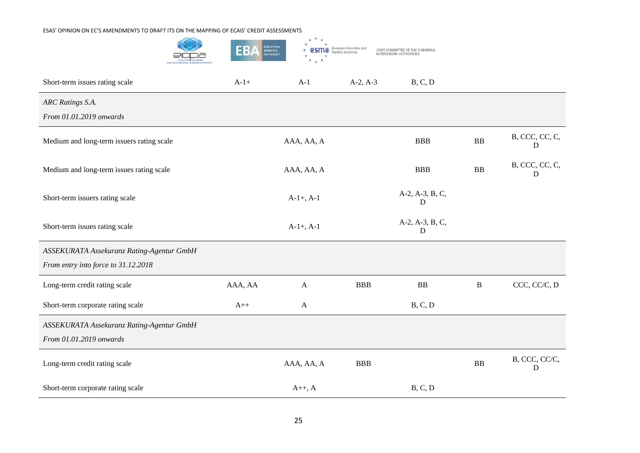|                                           | EB      | $\star$<br>EUROPEAN<br>BANKING<br>AUTHORITY | European Securities and<br>Markets Authority | OINT COMMITTEE OF THE EUROPEAN<br>SUPERVISORY AUTHORITIES |              |                     |
|-------------------------------------------|---------|---------------------------------------------|----------------------------------------------|-----------------------------------------------------------|--------------|---------------------|
| Short-term issues rating scale            | $A-1+$  | $A-1$                                       | $A-2, A-3$                                   | B, C, D                                                   |              |                     |
| ARC Ratings S.A.                          |         |                                             |                                              |                                                           |              |                     |
| From 01.01.2019 onwards                   |         |                                             |                                              |                                                           |              |                     |
| Medium and long-term issuers rating scale |         | AAA, AA, A                                  |                                              | <b>BBB</b>                                                | <b>BB</b>    | B, CCC, CC, C,<br>D |
| Medium and long-term issues rating scale  |         | AAA, AA, A                                  |                                              | <b>BBB</b>                                                | BB           | B, CCC, CC, C,<br>D |
| Short-term issuers rating scale           |         | $A-1+$ , $A-1$                              |                                              | A-2, A-3, B, C,<br>D                                      |              |                     |
| Short-term issues rating scale            |         | $A-1+$ , $A-1$                              |                                              | A-2, A-3, B, C,<br>D                                      |              |                     |
| ASSEKURATA Assekuranz Rating-Agentur GmbH |         |                                             |                                              |                                                           |              |                     |
| From entry into force to 31.12.2018       |         |                                             |                                              |                                                           |              |                     |
| Long-term credit rating scale             | AAA, AA | $\mathbf{A}$                                | <b>BBB</b>                                   | ${\bf BB}$                                                | $\, {\bf B}$ | CCC, CC/C, D        |
| Short-term corporate rating scale         | $A++$   | $\mathbf{A}$                                |                                              | B, C, D                                                   |              |                     |
| ASSEKURATA Assekuranz Rating-Agentur GmbH |         |                                             |                                              |                                                           |              |                     |
| From 01.01.2019 onwards                   |         |                                             |                                              |                                                           |              |                     |
| Long-term credit rating scale             |         | AAA, AA, A                                  | <b>BBB</b>                                   |                                                           | <b>BB</b>    | B, CCC, CC/C,<br>D  |
| Short-term corporate rating scale         |         | $A++, A$                                    |                                              | B, C, D                                                   |              |                     |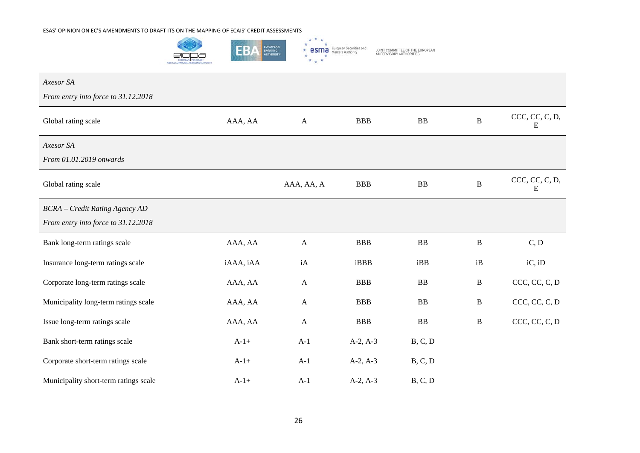

| Axesor SA                             |           |              |            |                |              |                     |
|---------------------------------------|-----------|--------------|------------|----------------|--------------|---------------------|
| From entry into force to 31.12.2018   |           |              |            |                |              |                     |
| Global rating scale                   | AAA, AA   | $\mathbf{A}$ | <b>BBB</b> | ${\bf BB}$     | $\bf{B}$     | CCC, CC, C, D,<br>E |
| Axesor SA                             |           |              |            |                |              |                     |
| From 01.01.2019 onwards               |           |              |            |                |              |                     |
| Global rating scale                   |           | AAA, AA, A   | <b>BBB</b> | ${\bf BB}$     | $\, {\bf B}$ | CCC, CC, C, D,<br>E |
| <b>BCRA</b> - Credit Rating Agency AD |           |              |            |                |              |                     |
| From entry into force to 31.12.2018   |           |              |            |                |              |                     |
| Bank long-term ratings scale          | AAA, AA   | $\mathbf{A}$ | <b>BBB</b> | B <sub>B</sub> | $\, {\bf B}$ | C, D                |
| Insurance long-term ratings scale     | iAAA, iAA | iA           | iBBB       | iBB            | iB           | iC, iD              |
| Corporate long-term ratings scale     | AAA, AA   | $\mathbf{A}$ | <b>BBB</b> | BB             | $\, {\bf B}$ | CCC, CC, C, D       |
| Municipality long-term ratings scale  | AAA, AA   | $\mathbf{A}$ | <b>BBB</b> | <b>BB</b>      | $\, {\bf B}$ | CCC, CC, C, D       |
| Issue long-term ratings scale         | AAA, AA   | $\mathbf{A}$ | <b>BBB</b> | ${\bf BB}$     | $\bf{B}$     | CCC, CC, C, D       |
| Bank short-term ratings scale         | $A-1+$    | $A-1$        | $A-2, A-3$ | B, C, D        |              |                     |
| Corporate short-term ratings scale    | $A-1+$    | $A-1$        | $A-2, A-3$ | B, C, D        |              |                     |
| Municipality short-term ratings scale | $A-1+$    | $A-1$        | $A-2, A-3$ | B, C, D        |              |                     |

26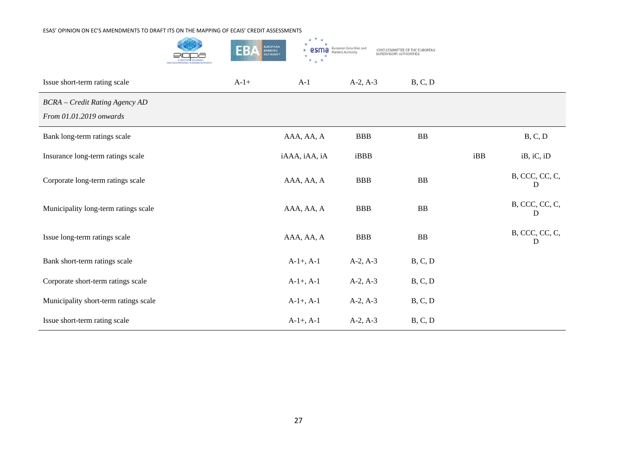|                                                                  | EB,    | $\star$<br>EUROPEAN<br>BANKING<br>AUTHORITY | European Securities and<br>Markets Authority<br>esma | JOINT COMMITTEE OF THE EUROPEAN<br>SUPERVISORY AUTHORITIES |     |                           |
|------------------------------------------------------------------|--------|---------------------------------------------|------------------------------------------------------|------------------------------------------------------------|-----|---------------------------|
| Issue short-term rating scale                                    | $A-1+$ | $A-1$                                       | $A-2, A-3$                                           | B, C, D                                                    |     |                           |
| <b>BCRA</b> - Credit Rating Agency AD<br>From 01.01.2019 onwards |        |                                             |                                                      |                                                            |     |                           |
| Bank long-term ratings scale                                     |        | AAA, AA, A                                  | <b>BBB</b>                                           | ${\bf BB}$                                                 |     | B, C, D                   |
| Insurance long-term ratings scale                                |        | iAAA, iAA, iA                               | iBBB                                                 |                                                            | iBB | iB, iC, iD                |
| Corporate long-term ratings scale                                |        | AAA, AA, A                                  | <b>BBB</b>                                           | ${\bf BB}$                                                 |     | B, CCC, CC, C,<br>D       |
| Municipality long-term ratings scale                             |        | AAA, AA, A                                  | <b>BBB</b>                                           | <b>BB</b>                                                  |     | $\rm B,$ CCC, CC, C,<br>D |
| Issue long-term ratings scale                                    |        | AAA, AA, A                                  | <b>BBB</b>                                           | ${\bf BB}$                                                 |     | B, CCC, CC, C,<br>D       |
| Bank short-term ratings scale                                    |        | $A-1+, A-1$                                 | $A-2, A-3$                                           | B, C, D                                                    |     |                           |
| Corporate short-term ratings scale                               |        | $A-1+, A-1$                                 | $A-2, A-3$                                           | B, C, D                                                    |     |                           |
| Municipality short-term ratings scale                            |        | $A-1+$ , $A-1$                              | $A-2, A-3$                                           | B, C, D                                                    |     |                           |
| Issue short-term rating scale                                    |        | $A-1+, A-1$                                 | $A-2, A-3$                                           | B, C, D                                                    |     |                           |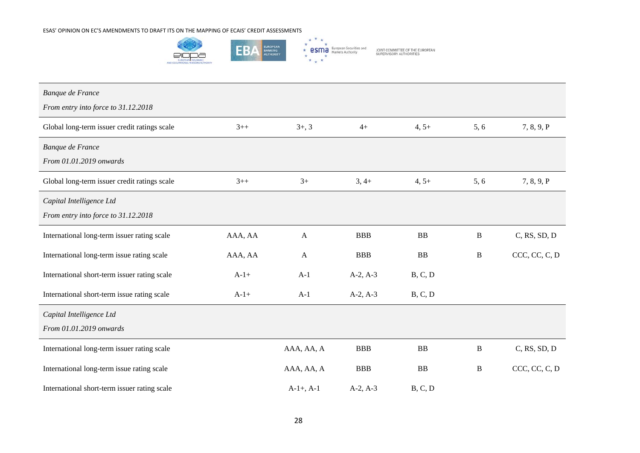

| Banque de France                             |         |                |            |           |              |                 |
|----------------------------------------------|---------|----------------|------------|-----------|--------------|-----------------|
| From entry into force to 31.12.2018          |         |                |            |           |              |                 |
| Global long-term issuer credit ratings scale | $3 + +$ | $3+, 3$        | $4+$       | $4, 5+$   | 5, 6         | 7, 8, 9, P      |
| Banque de France                             |         |                |            |           |              |                 |
| From 01.01.2019 onwards                      |         |                |            |           |              |                 |
| Global long-term issuer credit ratings scale | $3 + +$ | $3+$           | $3, 4+$    | $4, 5+$   | 5, 6         | 7, 8, 9, P      |
| Capital Intelligence Ltd                     |         |                |            |           |              |                 |
| From entry into force to 31.12.2018          |         |                |            |           |              |                 |
| International long-term issuer rating scale  | AAA, AA | $\mathbf{A}$   | <b>BBB</b> | <b>BB</b> | B            | $C$ , RS, SD, D |
| International long-term issue rating scale   | AAA, AA | $\mathbf{A}$   | <b>BBB</b> | <b>BB</b> | $\, {\bf B}$ | CCC, CC, C, D   |
| International short-term issuer rating scale | $A-1+$  | $A-1$          | $A-2, A-3$ | B, C, D   |              |                 |
| International short-term issue rating scale  | $A-1+$  | $A-1$          | $A-2, A-3$ | B, C, D   |              |                 |
| Capital Intelligence Ltd                     |         |                |            |           |              |                 |
| From 01.01.2019 onwards                      |         |                |            |           |              |                 |
| International long-term issuer rating scale  |         | AAA, AA, A     | <b>BBB</b> | BB        | $\, {\bf B}$ | $C$ , RS, SD, D |
| International long-term issue rating scale   |         | AAA, AA, A     | <b>BBB</b> | BB        | $\, {\bf B}$ | CCC, CC, C, D   |
| International short-term issuer rating scale |         | $A-1+$ , $A-1$ | $A-2, A-3$ | B, C, D   |              |                 |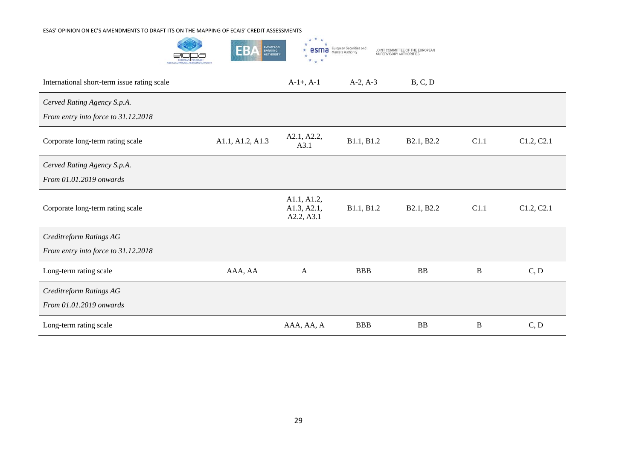

| International short-term issue rating scale                        |                  | $A-1+$ , $A-1$                           | $A-2, A-3$ | B, C, D    |          |            |
|--------------------------------------------------------------------|------------------|------------------------------------------|------------|------------|----------|------------|
| Cerved Rating Agency S.p.A.<br>From entry into force to 31.12.2018 |                  |                                          |            |            |          |            |
| Corporate long-term rating scale                                   | A1.1, A1.2, A1.3 | A2.1, A2.2,<br>A3.1                      | B1.1, B1.2 | B2.1, B2.2 | C1.1     | C1.2, C2.1 |
| Cerved Rating Agency S.p.A.                                        |                  |                                          |            |            |          |            |
| From 01.01.2019 onwards                                            |                  |                                          |            |            |          |            |
| Corporate long-term rating scale                                   |                  | A1.1, A1.2,<br>A1.3, A2.1,<br>A2.2, A3.1 | B1.1, B1.2 | B2.1, B2.2 | C1.1     | C1.2, C2.1 |
| Creditreform Ratings AG                                            |                  |                                          |            |            |          |            |
| From entry into force to 31.12.2018                                |                  |                                          |            |            |          |            |
| Long-term rating scale                                             | AAA, AA          | $\mathbf{A}$                             | <b>BBB</b> | <b>BB</b>  | $\bf{B}$ | C, D       |
| Creditreform Ratings AG<br>From 01.01.2019 onwards                 |                  |                                          |            |            |          |            |
| Long-term rating scale                                             |                  | AAA, AA, A                               | <b>BBB</b> | BB         | $\bf{B}$ | C, D       |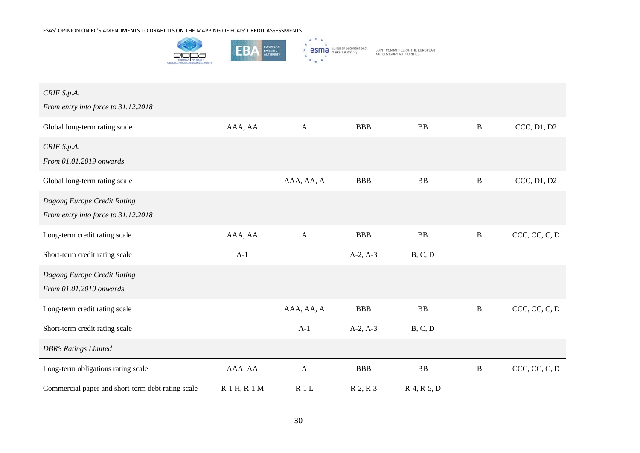

| CRIF S.p.A.                                       |              |              |            |               |              |               |
|---------------------------------------------------|--------------|--------------|------------|---------------|--------------|---------------|
| From entry into force to 31.12.2018               |              |              |            |               |              |               |
| Global long-term rating scale                     | AAA, AA      | $\mathbf{A}$ | <b>BBB</b> | BB            | $\, {\bf B}$ | CCC, D1, D2   |
| CRIF S.p.A.                                       |              |              |            |               |              |               |
| From 01.01.2019 onwards                           |              |              |            |               |              |               |
| Global long-term rating scale                     |              | AAA, AA, A   | <b>BBB</b> | <b>BB</b>     | $\, {\bf B}$ | CCC, D1, D2   |
| Dagong Europe Credit Rating                       |              |              |            |               |              |               |
| From entry into force to 31.12.2018               |              |              |            |               |              |               |
| Long-term credit rating scale                     | AAA, AA      | $\mathbf{A}$ | <b>BBB</b> | <b>BB</b>     | $\, {\bf B}$ | CCC, CC, C, D |
| Short-term credit rating scale                    | $A-1$        |              | $A-2, A-3$ | B, C, D       |              |               |
| Dagong Europe Credit Rating                       |              |              |            |               |              |               |
| From 01.01.2019 onwards                           |              |              |            |               |              |               |
| Long-term credit rating scale                     |              | AAA, AA, A   | <b>BBB</b> | <b>BB</b>     | $\, {\bf B}$ | CCC, CC, C, D |
| Short-term credit rating scale                    |              | $A-1$        | $A-2, A-3$ | B, C, D       |              |               |
| <b>DBRS</b> Ratings Limited                       |              |              |            |               |              |               |
| Long-term obligations rating scale                | AAA, AA      | $\mathbf{A}$ | <b>BBB</b> | <b>BB</b>     | $\, {\bf B}$ | CCC, CC, C, D |
| Commercial paper and short-term debt rating scale | R-1 H, R-1 M | $R-1$ L      | $R-2, R-3$ | $R-4, R-5, D$ |              |               |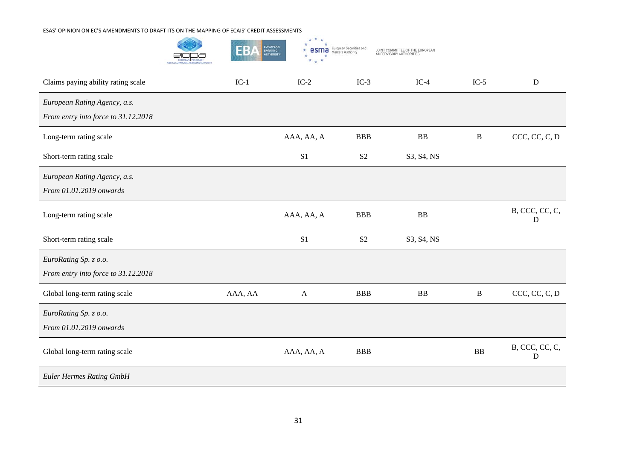|                                                                     | EUROPEAN<br>BANKING<br>AUTHORITY<br>EB/ | *<br>$\star$   | European Securities and<br>Markets Authority | JOINT COMMITTEE OF THE EUROPEAN<br>SUPERVISORY AUTHORITIES |              |                     |
|---------------------------------------------------------------------|-----------------------------------------|----------------|----------------------------------------------|------------------------------------------------------------|--------------|---------------------|
| Claims paying ability rating scale                                  | $IC-1$                                  | $IC-2$         | $IC-3$                                       | $IC-4$                                                     | $IC-5$       | $\mathbf D$         |
| European Rating Agency, a.s.<br>From entry into force to 31.12.2018 |                                         |                |                                              |                                                            |              |                     |
| Long-term rating scale                                              |                                         | AAA, AA, A     | <b>BBB</b>                                   | <b>BB</b>                                                  | $\, {\bf B}$ | CCC, CC, C, D       |
| Short-term rating scale                                             |                                         | S <sub>1</sub> | S <sub>2</sub>                               | S3, S4, NS                                                 |              |                     |
| European Rating Agency, a.s.<br>From 01.01.2019 onwards             |                                         |                |                                              |                                                            |              |                     |
| Long-term rating scale                                              |                                         | AAA, AA, A     | <b>BBB</b>                                   | <b>BB</b>                                                  |              | B, CCC, CC, C,<br>D |
| Short-term rating scale                                             |                                         | S <sub>1</sub> | S <sub>2</sub>                               | S3, S4, NS                                                 |              |                     |
| EuroRating Sp. z o.o.<br>From entry into force to 31.12.2018        |                                         |                |                                              |                                                            |              |                     |
| Global long-term rating scale                                       | AAA, AA                                 | $\mathbf{A}$   | <b>BBB</b>                                   | <b>BB</b>                                                  | $\, {\bf B}$ | CCC, CC, C, D       |
| EuroRating Sp. z o.o.<br>From 01.01.2019 onwards                    |                                         |                |                                              |                                                            |              |                     |
| Global long-term rating scale                                       |                                         | AAA, AA, A     | <b>BBB</b>                                   |                                                            | BB           | B, CCC, CC, C,<br>D |
| <b>Euler Hermes Rating GmbH</b>                                     |                                         |                |                                              |                                                            |              |                     |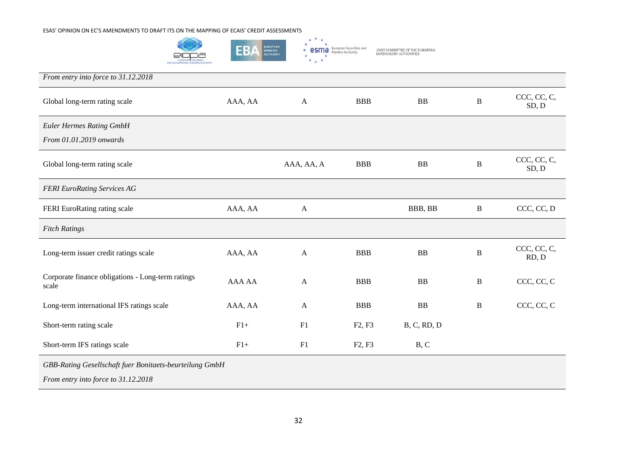

| From entry into force to 31.12.2018                                                            |         |              |                                 |             |              |                      |
|------------------------------------------------------------------------------------------------|---------|--------------|---------------------------------|-------------|--------------|----------------------|
| Global long-term rating scale                                                                  | AAA, AA | $\mathbf{A}$ | <b>BBB</b>                      | <b>BB</b>   | $\, {\bf B}$ | CCC, CC, C,<br>SD, D |
| <b>Euler Hermes Rating GmbH</b>                                                                |         |              |                                 |             |              |                      |
| From 01.01.2019 onwards                                                                        |         |              |                                 |             |              |                      |
| Global long-term rating scale                                                                  |         | AAA, AA, A   | <b>BBB</b>                      | <b>BB</b>   | $\bf{B}$     | CCC, CC, C,<br>SD, D |
| <b>FERI EuroRating Services AG</b>                                                             |         |              |                                 |             |              |                      |
| FERI EuroRating rating scale                                                                   | AAA, AA | $\mathbf{A}$ |                                 | BBB, BB     | $\, {\bf B}$ | CCC, CC, D           |
| <b>Fitch Ratings</b>                                                                           |         |              |                                 |             |              |                      |
| Long-term issuer credit ratings scale                                                          | AAA, AA | $\mathbf{A}$ | <b>BBB</b>                      | <b>BB</b>   | B            | CCC, CC, C,<br>RD, D |
| Corporate finance obligations - Long-term ratings<br>scale                                     | AAA AA  | $\mathbf{A}$ | <b>BBB</b>                      | <b>BB</b>   | B            | CCC, CC, C           |
| Long-term international IFS ratings scale                                                      | AAA, AA | $\mathbf{A}$ | <b>BBB</b>                      | <b>BB</b>   | B            | CCC, CC, C           |
| Short-term rating scale                                                                        | $F1+$   | F1           | F <sub>2</sub> , F <sub>3</sub> | B, C, RD, D |              |                      |
| Short-term IFS ratings scale                                                                   | $F1+$   | F1           | F <sub>2</sub> , F <sub>3</sub> | B, C        |              |                      |
| GBB-Rating Gesellschaft fuer Bonitaets-beurteilung GmbH<br>From entry into force to 31.12.2018 |         |              |                                 |             |              |                      |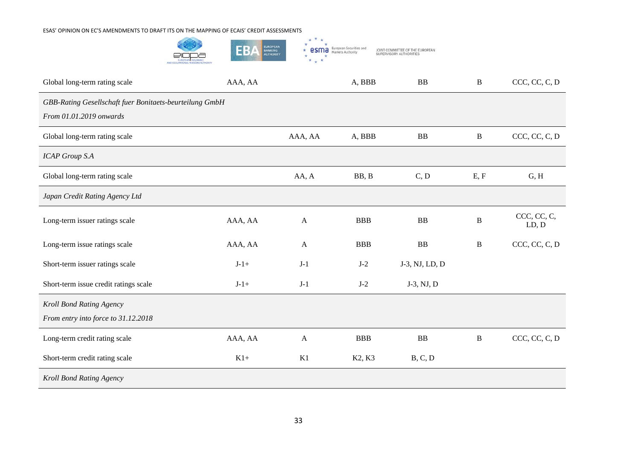

| Global long-term rating scale                                                      | AAA, AA                       |              | A, BBB     | BB             | $\, {\bf B}$ | CCC, CC, C, D        |
|------------------------------------------------------------------------------------|-------------------------------|--------------|------------|----------------|--------------|----------------------|
| GBB-Rating Gesellschaft fuer Bonitaets-beurteilung GmbH<br>From 01.01.2019 onwards |                               |              |            |                |              |                      |
| Global long-term rating scale                                                      |                               | AAA, AA      | A, BBB     | ${\bf BB}$     | $\, {\bf B}$ | CCC, CC, C, D        |
| <b>ICAP Group S.A</b>                                                              |                               |              |            |                |              |                      |
| Global long-term rating scale                                                      |                               | AA, A        | BB, B      | C, D           | E, F         | G, H                 |
| Japan Credit Rating Agency Ltd                                                     |                               |              |            |                |              |                      |
| Long-term issuer ratings scale                                                     | AAA, AA                       | $\mathbf{A}$ | <b>BBB</b> | <b>BB</b>      | $\, {\bf B}$ | CCC, CC, C,<br>LD, D |
| Long-term issue ratings scale                                                      | AAA, AA                       | $\mathbf{A}$ | <b>BBB</b> | BB             | $\, {\bf B}$ | CCC, CC, C, D        |
| Short-term issuer ratings scale                                                    | $J-1+$                        | $J-1$        | $J-2$      | J-3, NJ, LD, D |              |                      |
| Short-term issue credit ratings scale                                              | $\mathbf{J}\text{-}1\text{+}$ | $J-1$        | $J-2$      | J-3, NJ, D     |              |                      |
| Kroll Bond Rating Agency<br>From entry into force to 31.12.2018                    |                               |              |            |                |              |                      |
| Long-term credit rating scale                                                      | AAA, AA                       | $\mathbf{A}$ | <b>BBB</b> | BB             | $\, {\bf B}$ | CCC, CC, C, D        |
| Short-term credit rating scale                                                     | $K1+$                         | K1           | K2, K3     | B, C, D        |              |                      |
| Kroll Bond Rating Agency                                                           |                               |              |            |                |              |                      |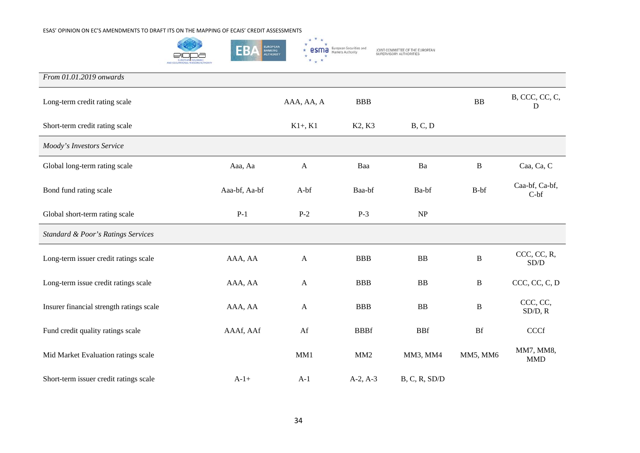

*From 01.01.2019 onwards* Long-term credit rating scale AAA, AA, A BBB BB B, CCC, CC, C, D Short-term credit rating scale B, C, D K1+, K1 K2, K3 B, C, D *Moody's Investors Service* Global long-term rating scale Aaa, Aa Aa Aa Baa Ba Ba Ba Caa, Ca, C Bond fund rating scale <br>Baa-bf, Aaa-bf, Aa-bf A-bf Baa-bf Ba-bf Ba-bf B-bf Caa-bf, Ca-bf, Ca-bf, Ca-bf, Ca-bf, Ca-bf, Ca-bf, Ca-bf, C  $C-bf$ Global short-term rating scale P-1 P-2 P-3 NP *Standard & Poor's Ratings Services* Long-term issuer credit ratings scale AAA, AA A BBB B B CCC, CC, R, SOCC, CC, R,  $SD/D$ Long-term issue credit ratings scale AAA, AA A BBB B B CCC, CC, C, D Insurer financial strength ratings scale AAA, AA A BBB BB B CCC, CC, SD/D, R Fund credit quality ratings scale AAAf, AAf AAf Af BBBf BBf Bf CCCf Mid Market Evaluation ratings scale MM1 MM1 MM2 MM3, MM4 MM5, MM6 MM7, MM8, **MMD** Short-term issuer credit ratings scale  $A-1+ A-1$   $A-2, A-3$   $B, C, R, SD/D$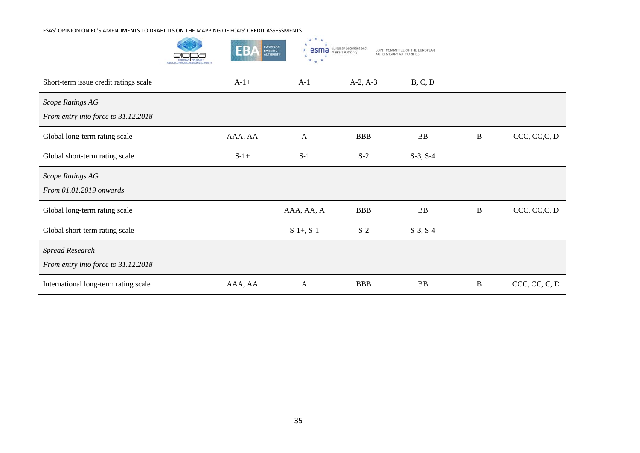|                                                               | <b>EUROPEAN</b><br>EB<br><b>BANKING</b><br>AUTHORITY | JOINT COMMITTEE OF THE EUROPEAN |            |            |              |               |
|---------------------------------------------------------------|------------------------------------------------------|---------------------------------|------------|------------|--------------|---------------|
| Short-term issue credit ratings scale                         | $A-1+$                                               | $A-1$                           | $A-2, A-3$ | B, C, D    |              |               |
| Scope Ratings AG<br>From entry into force to 31.12.2018       |                                                      |                                 |            |            |              |               |
| Global long-term rating scale                                 | AAA, AA                                              | A                               | <b>BBB</b> | ${\bf BB}$ | B            | CCC, CC, C, D |
| Global short-term rating scale                                | $S-1+$                                               | $S-1$                           | $S-2$      | $S-3, S-4$ |              |               |
| Scope Ratings AG<br>From 01.01.2019 onwards                   |                                                      |                                 |            |            |              |               |
| Global long-term rating scale                                 |                                                      | AAA, AA, A                      | <b>BBB</b> | ${\bf BB}$ | $\, {\bf B}$ | CCC, CC, C, D |
| Global short-term rating scale                                |                                                      | $S-1+$ , $S-1$                  | $S-2$      | $S-3, S-4$ |              |               |
| <b>Spread Research</b><br>From entry into force to 31.12.2018 |                                                      |                                 |            |            |              |               |
| International long-term rating scale                          | AAA, AA                                              | A                               | <b>BBB</b> | <b>BB</b>  | $\bf{B}$     | CCC, CC, C, D |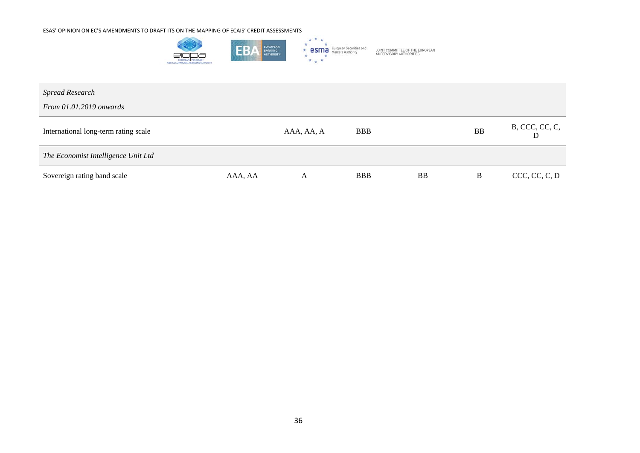

| <b>Spread Research</b><br>From $01.01.2019$ onwards |         |            |            |           |           |                     |
|-----------------------------------------------------|---------|------------|------------|-----------|-----------|---------------------|
| International long-term rating scale                |         | AAA, AA, A | <b>BBB</b> |           | <b>BB</b> | B, CCC, CC, C,<br>D |
| The Economist Intelligence Unit Ltd                 |         |            |            |           |           |                     |
| Sovereign rating band scale                         | AAA, AA | A          | <b>BBB</b> | <b>BB</b> | B         | CCC, CC, C, D       |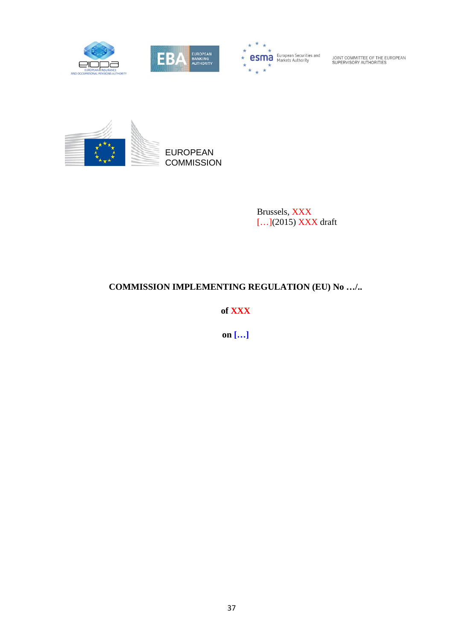



**esma** European Securities and

JOINT COMMITTEE OF THE EUROPEAN<br>SUPERVISORY AUTHORITIES



Brussels, XXX [...](2015) XXX draft

## **COMMISSION IMPLEMENTING REGULATION (EU) No …/..**

**of XXX**

**on […]**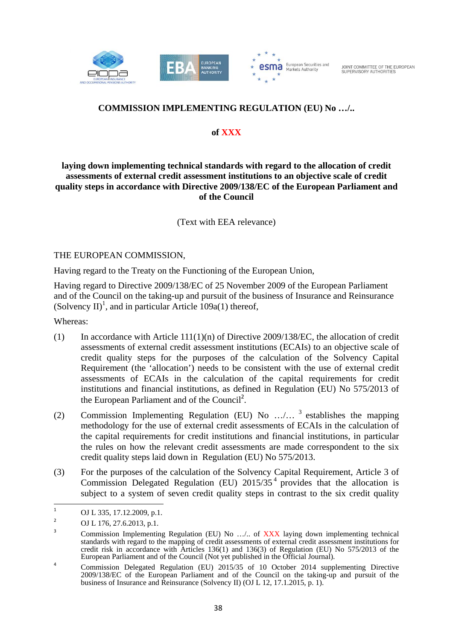



## **COMMISSION IMPLEMENTING REGULATION (EU) No …/..**

#### **of XXX**

#### **laying down implementing technical standards with regard to the allocation of credit assessments of external credit assessment institutions to an objective scale of credit quality steps in accordance with Directive 2009/138/EC of the European Parliament and of the Council**

(Text with EEA relevance)

#### THE EUROPEAN COMMISSION,

Having regard to the Treaty on the Functioning of the European Union,

Having regard to Directive 2009/138/EC of 25 November 2009 of the European Parliament and of the Council on the taking-up and pursuit of the business of Insurance and Reinsurance (Solvency II)<sup>1</sup>, and in particular Article 109a(1) thereof,

Whereas:

- (1) In accordance with Article 111(1)(n) of Directive 2009/138/EC, the allocation of credit assessments of external credit assessment institutions (ECAIs) to an objective scale of credit quality steps for the purposes of the calculation of the Solvency Capital Requirement (the 'allocation') needs to be consistent with the use of external credit assessments of ECAIs in the calculation of the capital requirements for credit institutions and financial institutions, as defined in Regulation (EU) No 575/2013 of the European Parliament and of the Council<sup>2</sup>.
- (2) Commission Implementing Regulation (EU) No  $\ldots$ ,  $\frac{3}{3}$  establishes the mapping methodology for the use of external credit assessments of ECAIs in the calculation of the capital requirements for credit institutions and financial institutions, in particular the rules on how the relevant credit assessments are made correspondent to the six credit quality steps laid down in Regulation (EU) No 575/2013.
- (3) For the purposes of the calculation of the Solvency Capital Requirement, Article 3 of Commission Delegated Regulation (EU)  $2015/35<sup>4</sup>$  provides that the allocation is subject to a system of seven credit quality steps in contrast to the six credit quality

<sup>&</sup>lt;u> Andreas Andreas Andreas Andreas Andreas Andreas Andreas Andreas Andreas Andreas Andreas Andreas Andreas Andreas</u> 1 OJ L 335, 17.12.2009, p.1.

<sup>2</sup> OJ L 176, 27.6.2013, p.1.

<sup>3</sup> Commission Implementing Regulation (EU) No …/.. of XXX laying down implementing technical standards with regard to the mapping of credit assessments of external credit assessment institutions for credit risk in accordance with Articles 136(1) and 136(3) of Regulation (EU) No 575/2013 of the European Parliament and of the Council (Not yet published in the Official Journal).

<sup>4</sup> Commission Delegated Regulation (EU) 2015/35 of 10 October 2014 supplementing Directive 2009/138/EC of the European Parliament and of the Council on the taking-up and pursuit of the business of Insurance and Reinsurance (Solvency II) (OJ L 12, 17.1.2015, p. 1).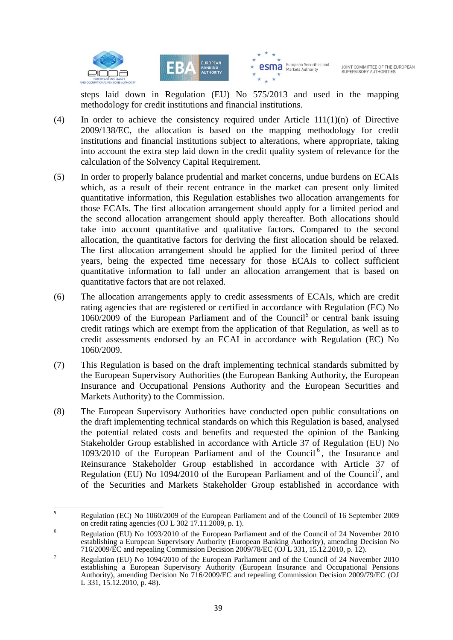



steps laid down in Regulation (EU) No 575/2013 and used in the mapping methodology for credit institutions and financial institutions.

- (4) In order to achieve the consistency required under Article 111(1)(n) of Directive 2009/138/EC, the allocation is based on the mapping methodology for credit institutions and financial institutions subject to alterations, where appropriate, taking into account the extra step laid down in the credit quality system of relevance for the calculation of the Solvency Capital Requirement.
- (5) In order to properly balance prudential and market concerns, undue burdens on ECAIs which, as a result of their recent entrance in the market can present only limited quantitative information, this Regulation establishes two allocation arrangements for those ECAIs. The first allocation arrangement should apply for a limited period and the second allocation arrangement should apply thereafter. Both allocations should take into account quantitative and qualitative factors. Compared to the second allocation, the quantitative factors for deriving the first allocation should be relaxed. The first allocation arrangement should be applied for the limited period of three years, being the expected time necessary for those ECAIs to collect sufficient quantitative information to fall under an allocation arrangement that is based on quantitative factors that are not relaxed.
- (6) The allocation arrangements apply to credit assessments of ECAIs, which are credit rating agencies that are registered or certified in accordance with Regulation (EC) No  $1060/2009$  of the European Parliament and of the Council<sup>5</sup> or central bank issuing credit ratings which are exempt from the application of that Regulation, as well as to credit assessments endorsed by an ECAI in accordance with Regulation (EC) No 1060/2009.
- (7) This Regulation is based on the draft implementing technical standards submitted by the European Supervisory Authorities (the European Banking Authority, the European Insurance and Occupational Pensions Authority and the European Securities and Markets Authority) to the Commission.
- (8) The European Supervisory Authorities have conducted open public consultations on the draft implementing technical standards on which this Regulation is based, analysed the potential related costs and benefits and requested the opinion of the Banking Stakeholder Group established in accordance with Article 37 of Regulation (EU) No  $1093/2010$  of the European Parliament and of the Council<sup>6</sup>, the Insurance and Reinsurance Stakeholder Group established in accordance with Article 37 of Regulation (EU) No 1094/2010 of the European Parliament and of the Council<sup>7</sup>, and of the Securities and Markets Stakeholder Group established in accordance with

<sup>5</sup> Regulation (EC) No 1060/2009 of the European Parliament and of the Council of 16 September 2009 on credit rating agencies (OJ L 302 17.11.2009, p. 1).

<sup>6</sup> Regulation (EU) No 1093/2010 of the European Parliament and of the Council of 24 November 2010 establishing a European Supervisory Authority (European Banking Authority), amending Decision No 716/2009/EC and repealing Commission Decision 2009/78/EC (OJ L 331, 15.12.2010, p. 12).<br>Regulation (EU) No 1094/2010 of the European Parliament and of the Council of 24 November 2010

establishing a European Supervisory Authority (European Insurance and Occupational Pensions Authority), amending Decision No 716/2009/EC and repealing Commission Decision 2009/79/EC (OJ L 331, 15.12.2010, p. 48).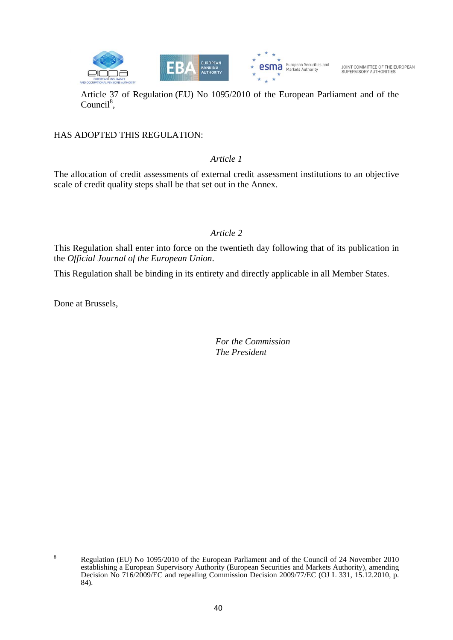

Article 37 of Regulation (EU) No 1095/2010 of the European Parliament and of the Council<sup>8</sup>,

#### HAS ADOPTED THIS REGULATION:

#### *Article 1*

The allocation of credit assessments of external credit assessment institutions to an objective scale of credit quality steps shall be that set out in the Annex.

#### *Article 2*

This Regulation shall enter into force on the twentieth day following that of its publication in the *Official Journal of the European Union*.

This Regulation shall be binding in its entirety and directly applicable in all Member States.

Done at Brussels,

 *For the Commission The President* 

<sup>8</sup> Regulation (EU) No 1095/2010 of the European Parliament and of the Council of 24 November 2010 establishing a European Supervisory Authority (European Securities and Markets Authority), amending Decision No 716/2009/EC and repealing Commission Decision 2009/77/EC (OJ L 331, 15.12.2010, p. 84).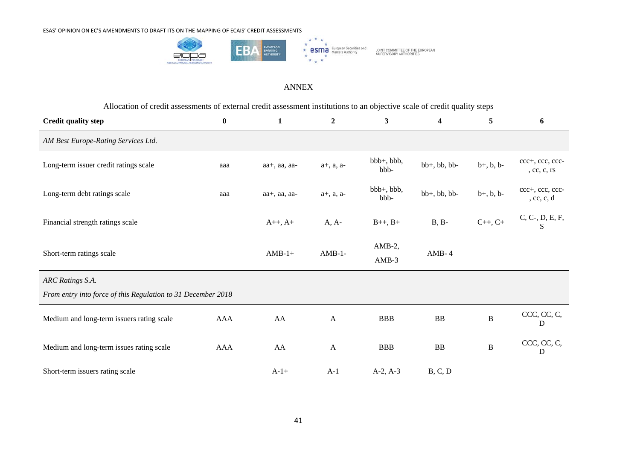

#### ANNEX

Allocation of credit assessments of external credit assessment institutions to an objective scale of credit quality steps

| <b>Credit quality step</b>                                   | $\bf{0}$   | $\mathbf{1}$    | $\boldsymbol{2}$ | $\mathbf{3}$         | $\overline{\mathbf{4}}$ | 5                  | 6                              |
|--------------------------------------------------------------|------------|-----------------|------------------|----------------------|-------------------------|--------------------|--------------------------------|
| AM Best Europe-Rating Services Ltd.                          |            |                 |                  |                      |                         |                    |                                |
| Long-term issuer credit ratings scale                        | aaa        | aa+, aa, aa-    | $a+, a, a-$      | $bbb+, bbb,$<br>bbb- | bb+, bb, bb-            | $b+, b, b-$        | ccc+, ccc, ccc-<br>, cc, c, rs |
| Long-term debt ratings scale                                 | aaa        | aa+, aa, aa-    | $a+, a, a-$      | $bbb+, bbb,$<br>bbb- | $bb+, bb, bb$           | $b+, b, b-$        | ccc+, ccc, ccc-<br>, cc, c, d  |
| Financial strength ratings scale                             |            | $A_{++}, A_{+}$ | $A, A-$          | $B_{++}$ , $B_{+}$   | $B, B-$                 | $C_{++}$ , $C_{+}$ | C, C-, D, E, F, S              |
| Short-term ratings scale                                     |            | $AMB-1+$        | $AMB-1-$         | $AMB-2$ ,<br>$AMB-3$ | $AMB-4$                 |                    |                                |
| ARC Ratings S.A.                                             |            |                 |                  |                      |                         |                    |                                |
| From entry into force of this Regulation to 31 December 2018 |            |                 |                  |                      |                         |                    |                                |
| Medium and long-term issuers rating scale                    | <b>AAA</b> | AA              | $\mathbf{A}$     | <b>BBB</b>           | ${\bf BB}$              | $\, {\bf B}$       | CCC, CC, C,<br>D               |
| Medium and long-term issues rating scale                     | <b>AAA</b> | AA              | $\mathbf{A}$     | <b>BBB</b>           | BB                      | $\, {\bf B}$       | CCC, CC, C,<br>D               |
| Short-term issuers rating scale                              |            | $A-1+$          | $A-1$            | $A-2, A-3$           | B, C, D                 |                    |                                |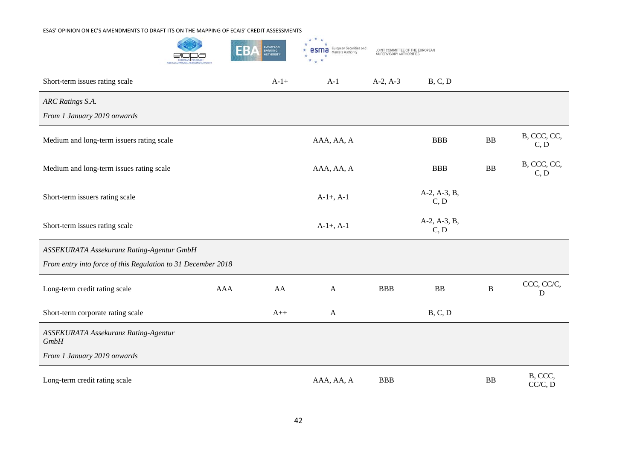|                                                              | EUROPEAN<br>BANKING<br>AUTHORITY<br>HB. | European Securities and<br>Markets Authority | JOINT COMMITTEE OF THE EUROPEAN<br>SUPERVISORY AUTHORITIES |                      |              |                     |
|--------------------------------------------------------------|-----------------------------------------|----------------------------------------------|------------------------------------------------------------|----------------------|--------------|---------------------|
| Short-term issues rating scale                               | $A-1+$                                  | $A-1$                                        | $A-2, A-3$                                                 | B, C, D              |              |                     |
| ARC Ratings S.A.                                             |                                         |                                              |                                                            |                      |              |                     |
| From 1 January 2019 onwards                                  |                                         |                                              |                                                            |                      |              |                     |
| Medium and long-term issuers rating scale                    |                                         | AAA, AA, A                                   |                                                            | <b>BBB</b>           | <b>BB</b>    | B, CCC, CC,<br>C, D |
| Medium and long-term issues rating scale                     |                                         | AAA, AA, A                                   |                                                            | <b>BBB</b>           | <b>BB</b>    | B, CCC, CC,<br>C, D |
| Short-term issuers rating scale                              |                                         | $A-1+$ , $A-1$                               |                                                            | A-2, A-3, B,<br>C, D |              |                     |
| Short-term issues rating scale                               |                                         | $A-1+$ , $A-1$                               |                                                            | A-2, A-3, B,<br>C, D |              |                     |
| ASSEKURATA Assekuranz Rating-Agentur GmbH                    |                                         |                                              |                                                            |                      |              |                     |
| From entry into force of this Regulation to 31 December 2018 |                                         |                                              |                                                            |                      |              |                     |
| Long-term credit rating scale<br>AAA                         | AA                                      | $\boldsymbol{\mathsf{A}}$                    | <b>BBB</b>                                                 | ${\bf BB}$           | $\, {\bf B}$ | CCC, CC/C,<br>D     |
| Short-term corporate rating scale                            | $A++$                                   | $\mathbf{A}$                                 |                                                            | B, C, D              |              |                     |
| ASSEKURATA Assekuranz Rating-Agentur<br><b>GmbH</b>          |                                         |                                              |                                                            |                      |              |                     |
| From 1 January 2019 onwards                                  |                                         |                                              |                                                            |                      |              |                     |
| Long-term credit rating scale                                |                                         | AAA, AA, A                                   | <b>BBB</b>                                                 |                      | <b>BB</b>    | B, CCC,<br>CC/C, D  |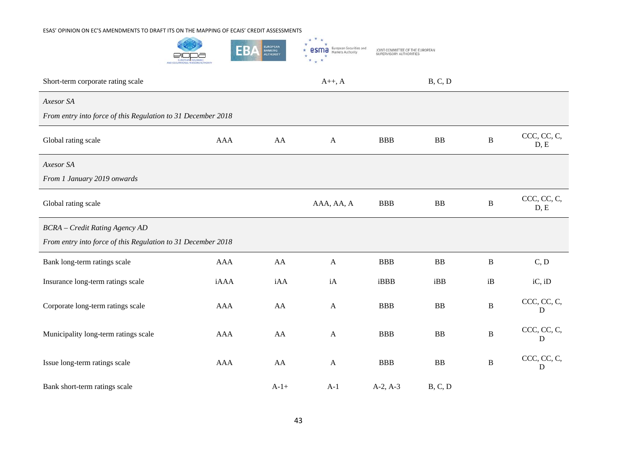

| Short-term corporate rating scale                            |            |        | $A++, A$         |            | B, C, D    |              |                     |
|--------------------------------------------------------------|------------|--------|------------------|------------|------------|--------------|---------------------|
| Axesor SA                                                    |            |        |                  |            |            |              |                     |
| From entry into force of this Regulation to 31 December 2018 |            |        |                  |            |            |              |                     |
| Global rating scale                                          | <b>AAA</b> | AA     | $\mathbf{A}$     | <b>BBB</b> | ${\bf BB}$ | $\, {\bf B}$ | CCC, CC, C,<br>D, E |
| Axesor SA                                                    |            |        |                  |            |            |              |                     |
| From 1 January 2019 onwards                                  |            |        |                  |            |            |              |                     |
| Global rating scale                                          |            |        | AAA, AA, A       | <b>BBB</b> | ${\bf BB}$ | $\, {\bf B}$ | CCC, CC, C,<br>D, E |
| <b>BCRA</b> - Credit Rating Agency AD                        |            |        |                  |            |            |              |                     |
| From entry into force of this Regulation to 31 December 2018 |            |        |                  |            |            |              |                     |
| Bank long-term ratings scale                                 | <b>AAA</b> | AA     | $\boldsymbol{A}$ | <b>BBB</b> | ${\bf BB}$ | $\, {\bf B}$ | C, D                |
| Insurance long-term ratings scale                            | iAAA       | iAA    | iA               | iBBB       | iBB        | iB           | $iC$ , $iD$         |
| Corporate long-term ratings scale                            | <b>AAA</b> | AA     | $\mathbf{A}$     | <b>BBB</b> | ${\bf BB}$ | $\, {\bf B}$ | CCC, CC, C,<br>D    |
| Municipality long-term ratings scale                         | <b>AAA</b> | AA     | A                | <b>BBB</b> | ${\bf BB}$ | $\, {\bf B}$ | CCC, CC, C,<br>D    |
| Issue long-term ratings scale                                | <b>AAA</b> | AA     | $\mathbf{A}$     | <b>BBB</b> | BB         | $\bf{B}$     | CCC, CC, C,<br>D    |
| Bank short-term ratings scale                                |            | $A-1+$ | $A-1$            | $A-2, A-3$ | B, C, D    |              |                     |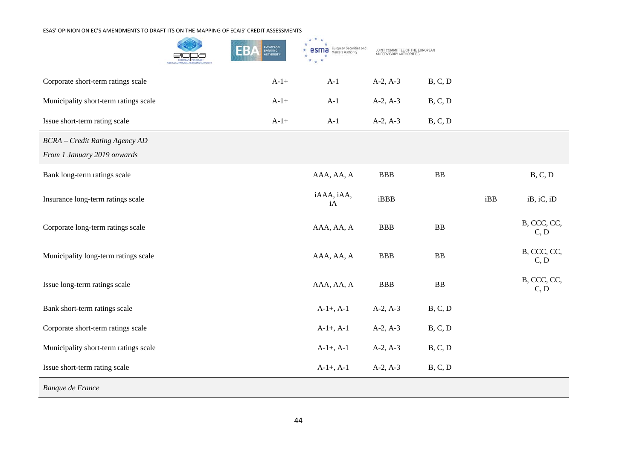**Contract Contract** 

|                                                                      | EUROPEAN<br>BANKING<br>AUTHORITY<br>EB. | $\star$<br>$\star$<br>European Securities and<br>esma<br>Markets Authority | JOINT COMMITTEE OF THE EUROPEAN |            |     |                     |
|----------------------------------------------------------------------|-----------------------------------------|----------------------------------------------------------------------------|---------------------------------|------------|-----|---------------------|
| Corporate short-term ratings scale                                   | $A-1+$                                  | $A-1$                                                                      | $A-2, A-3$                      | B, C, D    |     |                     |
| Municipality short-term ratings scale                                | $A-1+$                                  | $A-1$                                                                      | $A-2, A-3$                      | B, C, D    |     |                     |
| Issue short-term rating scale                                        | $A-1+$                                  | $A-1$                                                                      | $A-2, A-3$                      | B, C, D    |     |                     |
| <b>BCRA</b> - Credit Rating Agency AD<br>From 1 January 2019 onwards |                                         |                                                                            |                                 |            |     |                     |
| Bank long-term ratings scale                                         |                                         | AAA, AA, A                                                                 | <b>BBB</b>                      | <b>BB</b>  |     | B, C, D             |
| Insurance long-term ratings scale                                    |                                         | iAAA, iAA,<br>iA                                                           | iBBB                            |            | iBB | $iB$ , $iC$ , $iD$  |
| Corporate long-term ratings scale                                    |                                         | AAA, AA, A                                                                 | <b>BBB</b>                      | BB         |     | B, CCC, CC,<br>C, D |
| Municipality long-term ratings scale                                 |                                         | AAA, AA, A                                                                 | <b>BBB</b>                      | <b>BB</b>  |     | B, CCC, CC,<br>C, D |
| Issue long-term ratings scale                                        |                                         | AAA, AA, A                                                                 | <b>BBB</b>                      | ${\bf BB}$ |     | B, CCC, CC,<br>C, D |
| Bank short-term ratings scale                                        |                                         | $A-1+, A-1$                                                                | $A-2, A-3$                      | B, C, D    |     |                     |
| Corporate short-term ratings scale                                   |                                         | $A-1+$ , $A-1$                                                             | $A-2, A-3$                      | B, C, D    |     |                     |
| Municipality short-term ratings scale                                |                                         | $A-1+, A-1$                                                                | $A-2, A-3$                      | B, C, D    |     |                     |
| Issue short-term rating scale                                        |                                         | $A-1+$ , $A-1$                                                             | $A-2, A-3$                      | B, C, D    |     |                     |
| Banque de France                                                     |                                         |                                                                            |                                 |            |     |                     |

 $\mathcal{L}_{\mathcal{C}}$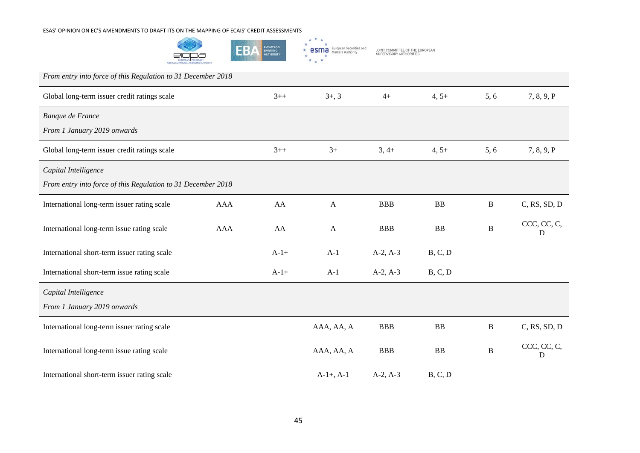



| From entry into force of this Regulation to 31 December 2018 |            |        |                |            |            |              |                  |
|--------------------------------------------------------------|------------|--------|----------------|------------|------------|--------------|------------------|
| Global long-term issuer credit ratings scale                 |            | $3++$  | $3+, 3$        | $4+$       | $4, 5+$    | 5,6          | 7, 8, 9, P       |
| Banque de France                                             |            |        |                |            |            |              |                  |
| From 1 January 2019 onwards                                  |            |        |                |            |            |              |                  |
| Global long-term issuer credit ratings scale                 |            | $3++$  | $3+$           | $3,4+$     | $4, 5+$    | 5, 6         | 7, 8, 9, P       |
| Capital Intelligence                                         |            |        |                |            |            |              |                  |
| From entry into force of this Regulation to 31 December 2018 |            |        |                |            |            |              |                  |
| International long-term issuer rating scale                  | <b>AAA</b> | AA     | A              | <b>BBB</b> | BB         | $\bf{B}$     | C, RS, SD, D     |
| International long-term issue rating scale                   | <b>AAA</b> | AA     | $\mathbf{A}$   | <b>BBB</b> | BB         | $\, {\bf B}$ | CCC, CC, C,<br>D |
| International short-term issuer rating scale                 |            | $A-1+$ | $A-1$          | $A-2, A-3$ | B, C, D    |              |                  |
| International short-term issue rating scale                  |            | $A-1+$ | $A-1$          | $A-2, A-3$ | B, C, D    |              |                  |
| Capital Intelligence                                         |            |        |                |            |            |              |                  |
| From 1 January 2019 onwards                                  |            |        |                |            |            |              |                  |
| International long-term issuer rating scale                  |            |        | AAA, AA, A     | <b>BBB</b> | ${\bf BB}$ | $\, {\bf B}$ | C, RS, SD, D     |
| International long-term issue rating scale                   |            |        | AAA, AA, A     | <b>BBB</b> | BB         | $\bf{B}$     | CCC, CC, C,<br>D |
| International short-term issuer rating scale                 |            |        | $A-1+$ , $A-1$ | $A-2, A-3$ | B, C, D    |              |                  |

 $\star$  \* \*  $\star$ 

 $*$   $*$   $*$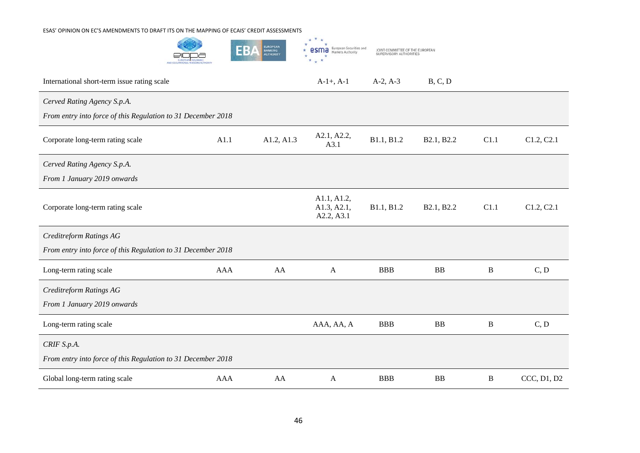

| International short-term issue rating scale                  |            |            | $A-1+$ , $A-1$                           | $A-2, A-3$ | B, C, D    |          |             |
|--------------------------------------------------------------|------------|------------|------------------------------------------|------------|------------|----------|-------------|
| Cerved Rating Agency S.p.A.                                  |            |            |                                          |            |            |          |             |
| From entry into force of this Regulation to 31 December 2018 |            |            |                                          |            |            |          |             |
| Corporate long-term rating scale                             | A1.1       | A1.2, A1.3 | A2.1, A2.2,<br>A3.1                      | B1.1, B1.2 | B2.1, B2.2 | C1.1     | C1.2, C2.1  |
| Cerved Rating Agency S.p.A.                                  |            |            |                                          |            |            |          |             |
| From 1 January 2019 onwards                                  |            |            |                                          |            |            |          |             |
| Corporate long-term rating scale                             |            |            | A1.1, A1.2,<br>A1.3, A2.1,<br>A2.2, A3.1 | B1.1, B1.2 | B2.1, B2.2 | C1.1     | C1.2, C2.1  |
| Creditreform Ratings AG                                      |            |            |                                          |            |            |          |             |
| From entry into force of this Regulation to 31 December 2018 |            |            |                                          |            |            |          |             |
| Long-term rating scale                                       | <b>AAA</b> | AA         | A                                        | <b>BBB</b> | BB         | B        | C, D        |
| Creditreform Ratings AG                                      |            |            |                                          |            |            |          |             |
| From 1 January 2019 onwards                                  |            |            |                                          |            |            |          |             |
| Long-term rating scale                                       |            |            | AAA, AA, A                               | <b>BBB</b> | <b>BB</b>  | B        | C, D        |
| CRIF S.p.A.                                                  |            |            |                                          |            |            |          |             |
| From entry into force of this Regulation to 31 December 2018 |            |            |                                          |            |            |          |             |
| Global long-term rating scale                                | <b>AAA</b> | AA         | A                                        | <b>BBB</b> | BB         | $\bf{B}$ | CCC, D1, D2 |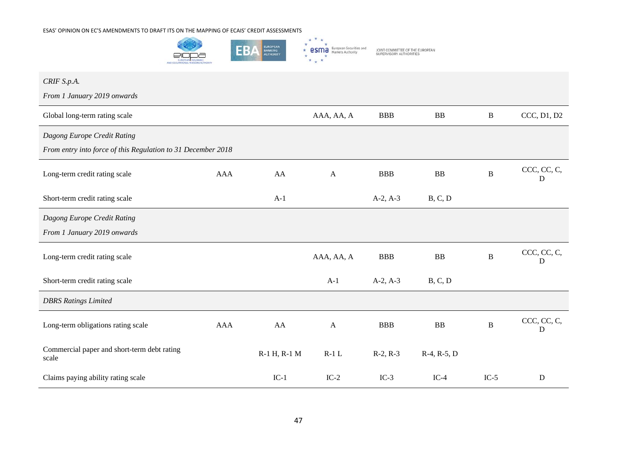

| CRIF S.p.A.                                                  |     |              |              |            |               |              |                  |
|--------------------------------------------------------------|-----|--------------|--------------|------------|---------------|--------------|------------------|
| From 1 January 2019 onwards                                  |     |              |              |            |               |              |                  |
| Global long-term rating scale                                |     |              | AAA, AA, A   | <b>BBB</b> | BB            | $\, {\bf B}$ | CCC, D1, D2      |
| Dagong Europe Credit Rating                                  |     |              |              |            |               |              |                  |
| From entry into force of this Regulation to 31 December 2018 |     |              |              |            |               |              |                  |
| Long-term credit rating scale                                | AAA | AA           | $\mathbf{A}$ | <b>BBB</b> | <b>BB</b>     | $\, {\bf B}$ | CCC, CC, C,<br>D |
| Short-term credit rating scale                               |     | $A-1$        |              | $A-2, A-3$ | B, C, D       |              |                  |
| Dagong Europe Credit Rating                                  |     |              |              |            |               |              |                  |
| From 1 January 2019 onwards                                  |     |              |              |            |               |              |                  |
| Long-term credit rating scale                                |     |              | AAA, AA, A   | <b>BBB</b> | <b>BB</b>     | $\bf{B}$     | CCC, CC, C,<br>D |
| Short-term credit rating scale                               |     |              | $A-1$        | $A-2, A-3$ | B, C, D       |              |                  |
| <b>DBRS</b> Ratings Limited                                  |     |              |              |            |               |              |                  |
| Long-term obligations rating scale                           | AAA | AA           | $\mathbf{A}$ | <b>BBB</b> | <b>BB</b>     | $\, {\bf B}$ | CCC, CC, C,<br>D |
| Commercial paper and short-term debt rating<br>scale         |     | R-1 H, R-1 M | $R-1$ L      | $R-2, R-3$ | $R-4, R-5, D$ |              |                  |
| Claims paying ability rating scale                           |     | $IC-1$       | $IC-2$       | $IC-3$     | $IC-4$        | $IC-5$       | D                |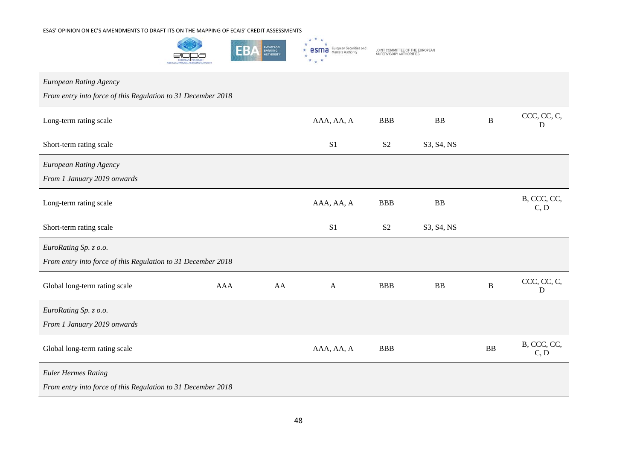

| European Rating Agency                                       |            |    |                |                |            |              |                     |
|--------------------------------------------------------------|------------|----|----------------|----------------|------------|--------------|---------------------|
| From entry into force of this Regulation to 31 December 2018 |            |    |                |                |            |              |                     |
| Long-term rating scale                                       |            |    | AAA, AA, A     | <b>BBB</b>     | BB         | $\, {\bf B}$ | CCC, CC, C,<br>D    |
| Short-term rating scale                                      |            |    | S1             | S <sub>2</sub> | S3, S4, NS |              |                     |
| European Rating Agency                                       |            |    |                |                |            |              |                     |
| From 1 January 2019 onwards                                  |            |    |                |                |            |              |                     |
| Long-term rating scale                                       |            |    | AAA, AA, A     | <b>BBB</b>     | BB         |              | B, CCC, CC,<br>C, D |
| Short-term rating scale                                      |            |    | S <sub>1</sub> | S <sub>2</sub> | S3, S4, NS |              |                     |
| EuroRating Sp. z o.o.                                        |            |    |                |                |            |              |                     |
| From entry into force of this Regulation to 31 December 2018 |            |    |                |                |            |              |                     |
| Global long-term rating scale                                | <b>AAA</b> | AA | $\mathbf{A}$   | <b>BBB</b>     | BB         | $\, {\bf B}$ | CCC, CC, C,<br>D    |
| EuroRating Sp. z o.o.                                        |            |    |                |                |            |              |                     |
| From 1 January 2019 onwards                                  |            |    |                |                |            |              |                     |
| Global long-term rating scale                                |            |    | AAA, AA, A     | <b>BBB</b>     |            | <b>BB</b>    | B, CCC, CC,<br>C, D |
| <b>Euler Hermes Rating</b>                                   |            |    |                |                |            |              |                     |
| From entry into force of this Regulation to 31 December 2018 |            |    |                |                |            |              |                     |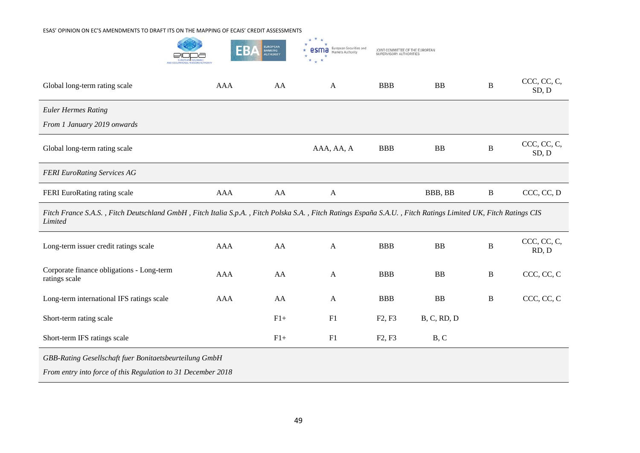

| Global long-term rating scale                                                                                                                                            | <b>AAA</b> | AA    | $\mathbf{A}$ | <b>BBB</b>                      | <b>BB</b>   | $\, {\bf B}$ | CCC, CC, C,<br>SD, D |  |  |  |
|--------------------------------------------------------------------------------------------------------------------------------------------------------------------------|------------|-------|--------------|---------------------------------|-------------|--------------|----------------------|--|--|--|
| <b>Euler Hermes Rating</b>                                                                                                                                               |            |       |              |                                 |             |              |                      |  |  |  |
| From 1 January 2019 onwards                                                                                                                                              |            |       |              |                                 |             |              |                      |  |  |  |
| Global long-term rating scale                                                                                                                                            |            |       | AAA, AA, A   | <b>BBB</b>                      | <b>BB</b>   | B            | CCC, CC, C,<br>SD, D |  |  |  |
| <b>FERI EuroRating Services AG</b>                                                                                                                                       |            |       |              |                                 |             |              |                      |  |  |  |
| FERI EuroRating rating scale                                                                                                                                             | <b>AAA</b> | AA    | $\mathbf{A}$ |                                 | BBB, BB     | $\, {\bf B}$ | CCC, CC, D           |  |  |  |
| Fitch France S.A.S., Fitch Deutschland GmbH, Fitch Italia S.p.A., Fitch Polska S.A., Fitch Ratings España S.A.U., Fitch Ratings Limited UK, Fitch Ratings CIS<br>Limited |            |       |              |                                 |             |              |                      |  |  |  |
| Long-term issuer credit ratings scale                                                                                                                                    | AAA        | AA    | $\mathbf{A}$ | <b>BBB</b>                      | <b>BB</b>   | $\, {\bf B}$ | CCC, CC, C,<br>RD, D |  |  |  |
| Corporate finance obligations - Long-term<br>ratings scale                                                                                                               | <b>AAA</b> | AA    | $\mathbf{A}$ | <b>BBB</b>                      | <b>BB</b>   | $\bf{B}$     | CCC, CC, C           |  |  |  |
| Long-term international IFS ratings scale                                                                                                                                | <b>AAA</b> | AA    | $\mathbf{A}$ | <b>BBB</b>                      | <b>BB</b>   | $\bf{B}$     | CCC, CC, C           |  |  |  |
| Short-term rating scale                                                                                                                                                  |            | $F1+$ | F1           | F <sub>2</sub> , F <sub>3</sub> | B, C, RD, D |              |                      |  |  |  |
| Short-term IFS ratings scale                                                                                                                                             |            | $F1+$ | F1           | F <sub>2</sub> , F <sub>3</sub> | B, C        |              |                      |  |  |  |
| GBB-Rating Gesellschaft fuer Bonitaetsbeurteilung GmbH                                                                                                                   |            |       |              |                                 |             |              |                      |  |  |  |
| From entry into force of this Regulation to 31 December 2018                                                                                                             |            |       |              |                                 |             |              |                      |  |  |  |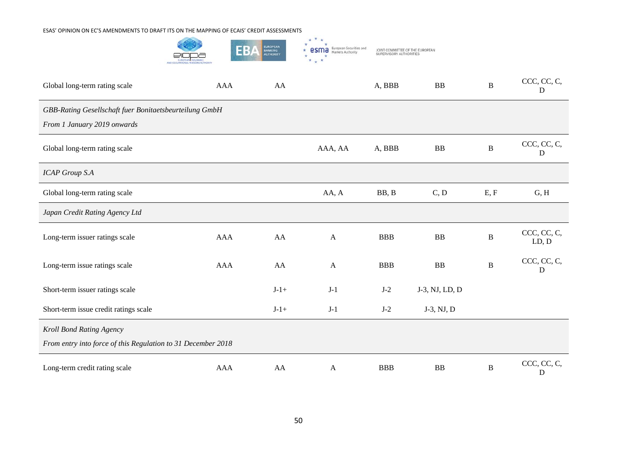

| Global long-term rating scale                                | <b>AAA</b> | AA     |              | A, BBB     | <b>BB</b>      | $\, {\bf B}$ | CCC, CC, C,<br>D     |  |  |
|--------------------------------------------------------------|------------|--------|--------------|------------|----------------|--------------|----------------------|--|--|
| GBB-Rating Gesellschaft fuer Bonitaetsbeurteilung GmbH       |            |        |              |            |                |              |                      |  |  |
| From 1 January 2019 onwards                                  |            |        |              |            |                |              |                      |  |  |
| Global long-term rating scale                                |            |        | AAA, AA      | A, BBB     | <b>BB</b>      | $\, {\bf B}$ | CCC, CC, C,<br>D     |  |  |
| <b>ICAP Group S.A</b>                                        |            |        |              |            |                |              |                      |  |  |
| Global long-term rating scale                                |            |        | AA, A        | BB, B      | C, D           | E, F         | G, H                 |  |  |
| Japan Credit Rating Agency Ltd                               |            |        |              |            |                |              |                      |  |  |
| Long-term issuer ratings scale                               | <b>AAA</b> | AA     | $\mathbf{A}$ | <b>BBB</b> | <b>BB</b>      | $\bf{B}$     | CCC, CC, C,<br>LD, D |  |  |
| Long-term issue ratings scale                                | <b>AAA</b> | AA     | $\mathbf{A}$ | <b>BBB</b> | BB             | $\, {\bf B}$ | CCC, CC, C,<br>D     |  |  |
| Short-term issuer ratings scale                              |            | $J-1+$ | $J-1$        | $J-2$      | J-3, NJ, LD, D |              |                      |  |  |
| Short-term issue credit ratings scale                        |            | $J-1+$ | $J-1$        | $J-2$      | J-3, NJ, D     |              |                      |  |  |
| Kroll Bond Rating Agency                                     |            |        |              |            |                |              |                      |  |  |
| From entry into force of this Regulation to 31 December 2018 |            |        |              |            |                |              |                      |  |  |
| Long-term credit rating scale                                | <b>AAA</b> | AA     | $\mathbf{A}$ | <b>BBB</b> | BB             | $\, {\bf B}$ | CCC, CC, C,<br>D     |  |  |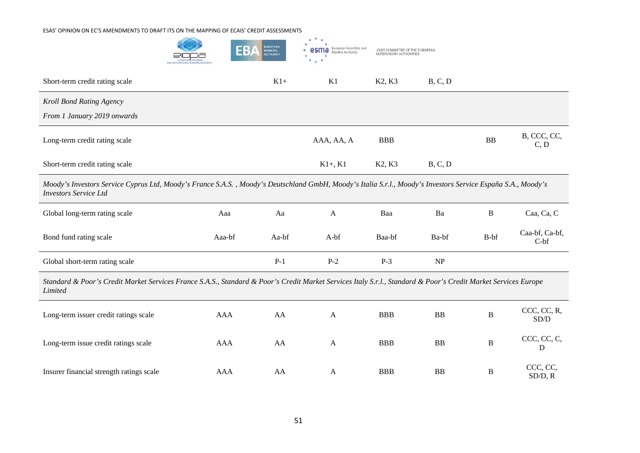|                                                                                                                                                                                              |            | <b>UROPEAN</b><br>EB<br>BANKING<br>AUTHORITY | European Securities and<br>Markets Authority | JOINT COMMITTEE OF THE EUROPEAN<br>SUPERVISORY AUTHORITIES |           |              |                          |  |  |
|----------------------------------------------------------------------------------------------------------------------------------------------------------------------------------------------|------------|----------------------------------------------|----------------------------------------------|------------------------------------------------------------|-----------|--------------|--------------------------|--|--|
| Short-term credit rating scale                                                                                                                                                               |            | $K1+$                                        | K1                                           | K <sub>2</sub> , K <sub>3</sub>                            | B, C, D   |              |                          |  |  |
| Kroll Bond Rating Agency<br>From 1 January 2019 onwards                                                                                                                                      |            |                                              |                                              |                                                            |           |              |                          |  |  |
| Long-term credit rating scale                                                                                                                                                                |            |                                              | AAA, AA, A                                   | <b>BBB</b>                                                 |           | <b>BB</b>    | B, CCC, CC,<br>C, D      |  |  |
| Short-term credit rating scale                                                                                                                                                               |            |                                              | $K1+ K1$                                     | K2, K3                                                     | B, C, D   |              |                          |  |  |
| Moody's Investors Service Cyprus Ltd, Moody's France S.A.S., Moody's Deutschland GmbH, Moody's Italia S.r.l., Moody's Investors Service España S.A., Moody's<br><b>Investors Service Ltd</b> |            |                                              |                                              |                                                            |           |              |                          |  |  |
| Global long-term rating scale                                                                                                                                                                | Aaa        | Aa                                           | A                                            | Baa                                                        | Ba        | $\, {\bf B}$ | Caa, Ca, C               |  |  |
| Bond fund rating scale                                                                                                                                                                       | Aaa-bf     | Aa-bf                                        | A-bf                                         | Baa-bf                                                     | Ba-bf     | B-bf         | Caa-bf, Ca-bf,<br>$C-bf$ |  |  |
| Global short-term rating scale                                                                                                                                                               |            | $P-1$                                        | $P-2$                                        | $P-3$                                                      | NP        |              |                          |  |  |
| Standard & Poor's Credit Market Services France S.A.S., Standard & Poor's Credit Market Services Italy S.r.l., Standard & Poor's Credit Market Services Europe<br>Limited                    |            |                                              |                                              |                                                            |           |              |                          |  |  |
| Long-term issuer credit ratings scale                                                                                                                                                        | <b>AAA</b> | AA                                           | A                                            | <b>BBB</b>                                                 | <b>BB</b> | B            | CCC, CC, R,<br>SD/D      |  |  |
| Long-term issue credit ratings scale                                                                                                                                                         | <b>AAA</b> | AA                                           | A                                            | <b>BBB</b>                                                 | <b>BB</b> | $\bf{B}$     | CCC, CC, C,<br>D         |  |  |
| Insurer financial strength ratings scale                                                                                                                                                     | <b>AAA</b> | AA                                           | A                                            | <b>BBB</b>                                                 | <b>BB</b> | B            | CCC, CC,<br>SD/D, R      |  |  |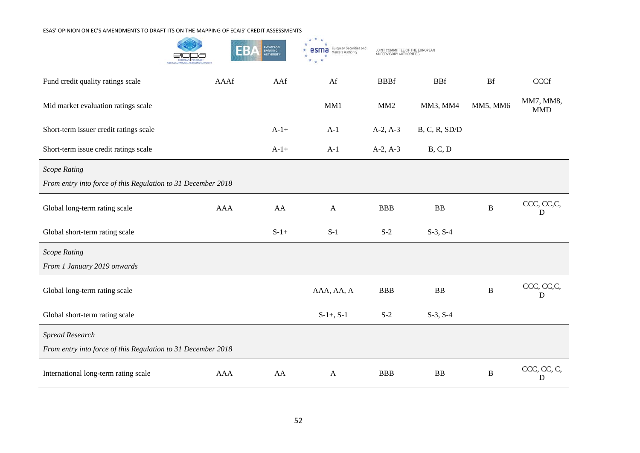

| Fund credit quality ratings scale                            | AAAf | AAf    | Af             | <b>BBBf</b> | <b>BBf</b>    | <b>Bf</b> | CCCf                    |  |
|--------------------------------------------------------------|------|--------|----------------|-------------|---------------|-----------|-------------------------|--|
| Mid market evaluation ratings scale                          |      |        | MM1            | MM2         | MM3, MM4      | MM5, MM6  | MM7, MM8,<br><b>MMD</b> |  |
| Short-term issuer credit ratings scale                       |      | $A-1+$ | $A-1$          | $A-2, A-3$  | B, C, R, SD/D |           |                         |  |
| Short-term issue credit ratings scale                        |      | $A-1+$ | $A-1$          | $A-2, A-3$  | B, C, D       |           |                         |  |
| <b>Scope Rating</b>                                          |      |        |                |             |               |           |                         |  |
| From entry into force of this Regulation to 31 December 2018 |      |        |                |             |               |           |                         |  |
| Global long-term rating scale                                | AAA  | AA     | $\mathbf{A}$   | <b>BBB</b>  | ${\bf BB}$    | $\bf{B}$  | CCC, CC, C,<br>D        |  |
| Global short-term rating scale                               |      | $S-1+$ | $S-1$          | $S-2$       | $S-3, S-4$    |           |                         |  |
| <b>Scope Rating</b>                                          |      |        |                |             |               |           |                         |  |
| From 1 January 2019 onwards                                  |      |        |                |             |               |           |                         |  |
| Global long-term rating scale                                |      |        | AAA, AA, A     | <b>BBB</b>  | ${\bf BB}$    | $\bf{B}$  | CCC, CC, C,<br>D        |  |
| Global short-term rating scale                               |      |        | $S-1+$ , $S-1$ | $S-2$       | $S-3, S-4$    |           |                         |  |
| <b>Spread Research</b>                                       |      |        |                |             |               |           |                         |  |
| From entry into force of this Regulation to 31 December 2018 |      |        |                |             |               |           |                         |  |
| International long-term rating scale                         | AAA  | AA     | $\mathbf{A}$   | <b>BBB</b>  | BB            | B         | CCC, CC, C,<br>D        |  |